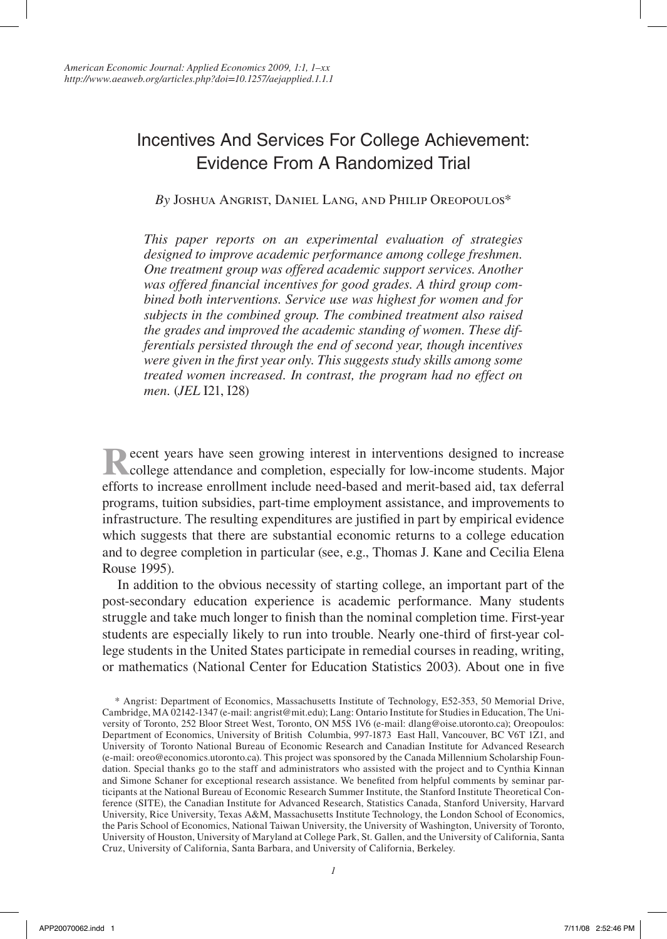# Incentives And Services For College Achievement: Evidence From A Randomized Trial

*By* Joshua Angrist, Daniel Lang, and Philip Oreopoulos\*

*This paper reports on an experimental evaluation of strategies designed to improve academic performance among college freshmen. One treatment group was offered academic support services. Another was offered financial incentives for good grades. A third group combined both interventions. Service use was highest for women and for subjects in the combined group. The combined treatment also raised the grades and improved the academic standing of women. These differentials persisted through the end of second year, though incentives were given in the first year only. This suggests study skills among some treated women increased. In contrast, the program had no effect on men.* (*JEL* I21, I28)

**Recent years have seen growing interest in interventions designed to increase college attendance and completion, especially for low-income students. Major** efforts to increase enrollment include need-based and merit-based aid, tax deferral programs, tuition subsidies, part-time employment assistance, and improvements to infrastructure. The resulting expenditures are justified in part by empirical evidence which suggests that there are substantial economic returns to a college education and to degree completion in particular (see, e.g., Thomas J. Kane and Cecilia Elena Rouse 1995).

In addition to the obvious necessity of starting college, an important part of the post-secondary education experience is academic performance. Many students struggle and take much longer to finish than the nominal completion time. First-year students are especially likely to run into trouble. Nearly one-third of first-year college students in the United States participate in remedial courses in reading, writing, or mathematics (National Center for Education Statistics 2003). About one in five

<sup>\*</sup> Angrist: Department of Economics, Massachusetts Institute of Technology, E52-353, 50 Memorial Drive, Cambridge, MA 02142-1347 (e-mail: angrist@mit.edu); Lang: Ontario Institute for Studies in Education, The University of Toronto, 252 Bloor Street West, Toronto, ON M5S 1V6 (e-mail: dlang@oise.utoronto.ca); Oreopoulos: Department of Economics, University of British Columbia, 997-1873 East Hall, Vancouver, BC V6T 1Z1, and University of Toronto National Bureau of Economic Research and Canadian Institute for Advanced Research (e-mail: oreo@economics.utoronto.ca). This project was sponsored by the Canada Millennium Scholarship Foundation. Special thanks go to the staff and administrators who assisted with the project and to Cynthia Kinnan and Simone Schaner for exceptional research assistance. We benefited from helpful comments by seminar participants at the National Bureau of Economic Research Summer Institute, the Stanford Institute Theoretical Conference (SITE), the Canadian Institute for Advanced Research, Statistics Canada, Stanford University, Harvard University, Rice University, Texas A&M, Massachusetts Institute Technology, the London School of Economics, the Paris School of Economics, National Taiwan University, the University of Washington, University of Toronto, University of Houston, University of Maryland at College Park, St. Gallen, and the University of California, Santa Cruz, University of California, Santa Barbara, and University of California, Berkeley.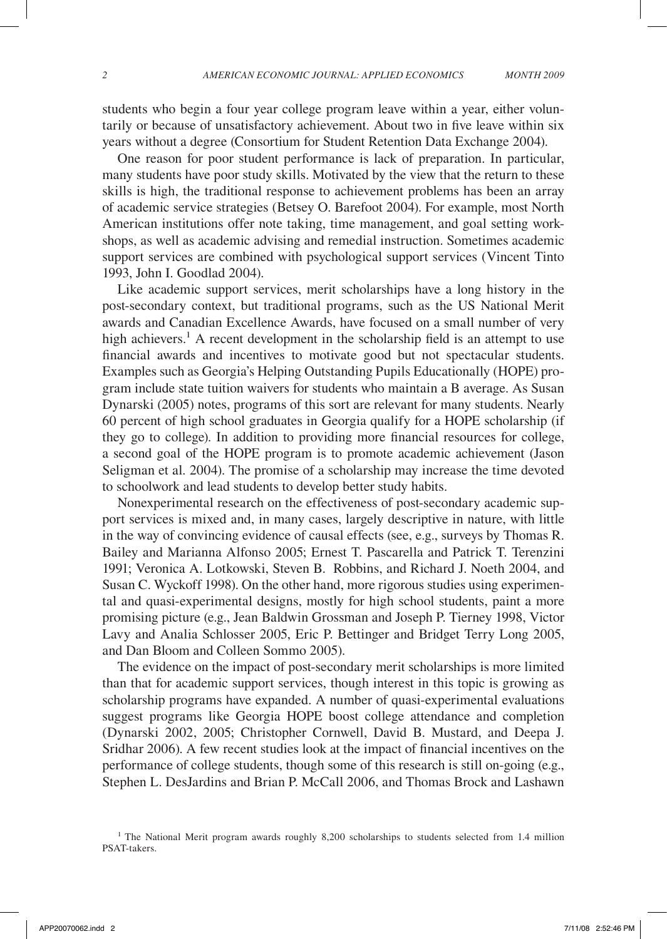students who begin a four year college program leave within a year, either voluntarily or because of unsatisfactory achievement. About two in five leave within six years without a degree (Consortium for Student Retention Data Exchange 2004).

One reason for poor student performance is lack of preparation. In particular, many students have poor study skills. Motivated by the view that the return to these skills is high, the traditional response to achievement problems has been an array of academic service strategies (Betsey O. Barefoot 2004). For example, most North American institutions offer note taking, time management, and goal setting workshops, as well as academic advising and remedial instruction. Sometimes academic support services are combined with psychological support services (Vincent Tinto 1993, John I. Goodlad 2004).

Like academic support services, merit scholarships have a long history in the post-secondary context, but traditional programs, such as the US National Merit awards and Canadian Excellence Awards, have focused on a small number of very high achievers.<sup>1</sup> A recent development in the scholarship field is an attempt to use financial awards and incentives to motivate good but not spectacular students. Examples such as Georgia's Helping Outstanding Pupils Educationally (HOPE) program include state tuition waivers for students who maintain a B average. As Susan Dynarski (2005) notes, programs of this sort are relevant for many students. Nearly 60 percent of high school graduates in Georgia qualify for a HOPE scholarship (if they go to college). In addition to providing more financial resources for college, a second goal of the HOPE program is to promote academic achievement (Jason Seligman et al. 2004). The promise of a scholarship may increase the time devoted to schoolwork and lead students to develop better study habits.

Nonexperimental research on the effectiveness of post-secondary academic support services is mixed and, in many cases, largely descriptive in nature, with little in the way of convincing evidence of causal effects (see, e.g., surveys by Thomas R. Bailey and Marianna Alfonso 2005; Ernest T. Pascarella and Patrick T. Terenzini 1991; Veronica A. Lotkowski, Steven B. Robbins, and Richard J. Noeth 2004, and Susan C. Wyckoff 1998). On the other hand, more rigorous studies using experimental and quasi-experimental designs, mostly for high school students, paint a more promising picture (e.g., Jean Baldwin Grossman and Joseph P. Tierney 1998, Victor Lavy and Analia Schlosser 2005, Eric P. Bettinger and Bridget Terry Long 2005, and Dan Bloom and Colleen Sommo 2005).

The evidence on the impact of post-secondary merit scholarships is more limited than that for academic support services, though interest in this topic is growing as scholarship programs have expanded. A number of quasi-experimental evaluations suggest programs like Georgia HOPE boost college attendance and completion (Dynarski 2002, 2005; Christopher Cornwell, David B. Mustard, and Deepa J. Sridhar 2006). A few recent studies look at the impact of financial incentives on the performance of college students, though some of this research is still on-going (e.g., Stephen L. DesJardins and Brian P. McCall 2006, and Thomas Brock and Lashawn

 $\overline{c}$ 

<sup>&</sup>lt;sup>1</sup> The National Merit program awards roughly 8,200 scholarships to students selected from 1.4 million PSAT-takers.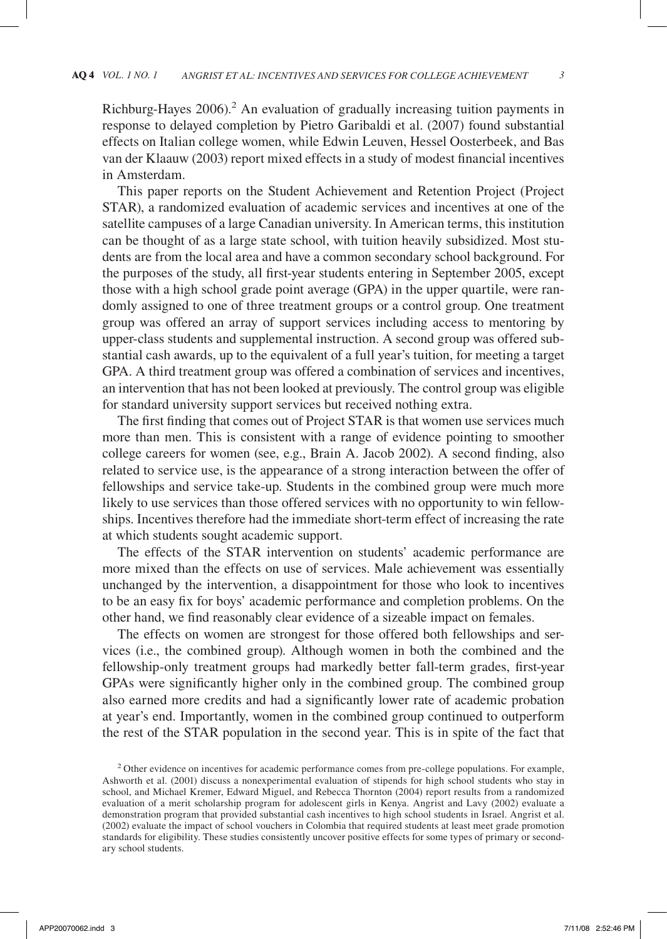Richburg-Hayes 2006).<sup>2</sup> An evaluation of gradually increasing tuition payments in response to delayed completion by Pietro Garibaldi et al. (2007) found substantial effects on Italian college women, while Edwin Leuven, Hessel Oosterbeek, and Bas van der Klaauw (2003) report mixed effects in a study of modest financial incentives in Amsterdam.

This paper reports on the Student Achievement and Retention Project (Project STAR), a randomized evaluation of academic services and incentives at one of the satellite campuses of a large Canadian university. In American terms, this institution can be thought of as a large state school, with tuition heavily subsidized. Most students are from the local area and have a common secondary school background. For the purposes of the study, all first-year students entering in September 2005, except those with a high school grade point average (GPA) in the upper quartile, were randomly assigned to one of three treatment groups or a control group. One treatment group was offered an array of support services including access to mentoring by upper-class students and supplemental instruction. A second group was offered substantial cash awards, up to the equivalent of a full year's tuition, for meeting a target GPA. A third treatment group was offered a combination of services and incentives, an intervention that has not been looked at previously. The control group was eligible for standard university support services but received nothing extra.

The first finding that comes out of Project STAR is that women use services much more than men. This is consistent with a range of evidence pointing to smoother college careers for women (see, e.g., Brain A. Jacob 2002). A second finding, also related to service use, is the appearance of a strong interaction between the offer of fellowships and service take-up. Students in the combined group were much more likely to use services than those offered services with no opportunity to win fellowships. Incentives therefore had the immediate short-term effect of increasing the rate at which students sought academic support.

The effects of the STAR intervention on students' academic performance are more mixed than the effects on use of services. Male achievement was essentially unchanged by the intervention, a disappointment for those who look to incentives to be an easy fix for boys' academic performance and completion problems. On the other hand, we find reasonably clear evidence of a sizeable impact on females.

The effects on women are strongest for those offered both fellowships and services (i.e., the combined group). Although women in both the combined and the fellowship-only treatment groups had markedly better fall-term grades, first-year GPAs were significantly higher only in the combined group. The combined group also earned more credits and had a significantly lower rate of academic probation at year's end. Importantly, women in the combined group continued to outperform the rest of the STAR population in the second year. This is in spite of the fact that

<sup>&</sup>lt;sup>2</sup> Other evidence on incentives for academic performance comes from pre-college populations. For example, Ashworth et al. (2001) discuss a nonexperimental evaluation of stipends for high school students who stay in school, and Michael Kremer, Edward Miguel, and Rebecca Thornton (2004) report results from a randomized evaluation of a merit scholarship program for adolescent girls in Kenya. Angrist and Lavy (2002) evaluate a demonstration program that provided substantial cash incentives to high school students in Israel. Angrist et al. (2002) evaluate the impact of school vouchers in Colombia that required students at least meet grade promotion standards for eligibility. These studies consistently uncover positive effects for some types of primary or secondary school students.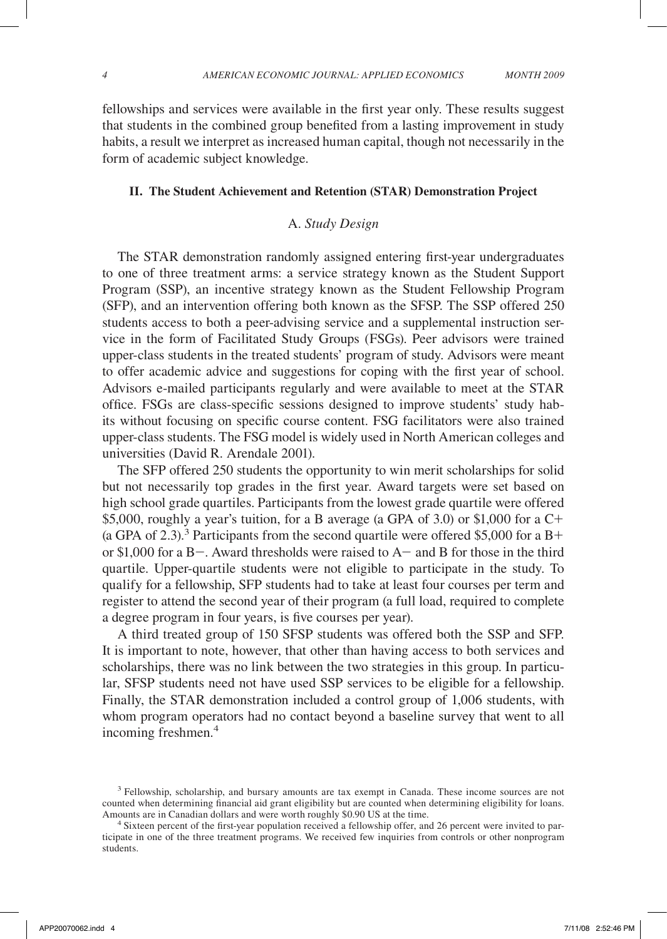fellowships and services were available in the first year only. These results suggest that students in the combined group benefited from a lasting improvement in study habits, a result we interpret as increased human capital, though not necessarily in the form of academic subject knowledge.

#### **II. The Student Achievement and Retention (STAR) Demonstration Project**

# A. *Study Design*

The STAR demonstration randomly assigned entering first-year undergraduates to one of three treatment arms: a service strategy known as the Student Support Program (SSP), an incentive strategy known as the Student Fellowship Program (SFP), and an intervention offering both known as the SFSP. The SSP offered 250 students access to both a peer-advising service and a supplemental instruction service in the form of Facilitated Study Groups (FSGs). Peer advisors were trained upper-class students in the treated students' program of study. Advisors were meant to offer academic advice and suggestions for coping with the first year of school. Advisors e-mailed participants regularly and were available to meet at the STAR office. FSGs are class-specific sessions designed to improve students' study habits without focusing on specific course content. FSG facilitators were also trained upper-class students. The FSG model is widely used in North American colleges and universities (David R. Arendale 2001).

The SFP offered 250 students the opportunity to win merit scholarships for solid but not necessarily top grades in the first year. Award targets were set based on high school grade quartiles. Participants from the lowest grade quartile were offered \$5,000, roughly a year's tuition, for a B average (a GPA of 3.0) or \$1,000 for a  $C+$ (a GPA of 2.3).<sup>3</sup> Participants from the second quartile were offered \$5,000 for a B+ or \$1,000 for a B-. Award thresholds were raised to  $A-$  and B for those in the third quartile. Upper-quartile students were not eligible to participate in the study. To qualify for a fellowship, SFP students had to take at least four courses per term and register to attend the second year of their program (a full load, required to complete a degree program in four years, is five courses per year).

A third treated group of 150 SFSP students was offered both the SSP and SFP. It is important to note, however, that other than having access to both services and scholarships, there was no link between the two strategies in this group. In particular, SFSP students need not have used SSP services to be eligible for a fellowship. Finally, the STAR demonstration included a control group of 1,006 students, with whom program operators had no contact beyond a baseline survey that went to all incoming freshmen.<sup>4</sup>

<sup>&</sup>lt;sup>3</sup> Fellowship, scholarship, and bursary amounts are tax exempt in Canada. These income sources are not counted when determining financial aid grant eligibility but are counted when determining eligibility for loans.<br>Amounts are in Canadian dollars and were worth roughly \$0.90 US at the time.

<sup>&</sup>lt;sup>4</sup> Sixteen percent of the first-year population received a fellowship offer, and 26 percent were invited to participate in one of the three treatment programs. We received few inquiries from controls or other nonprogram students.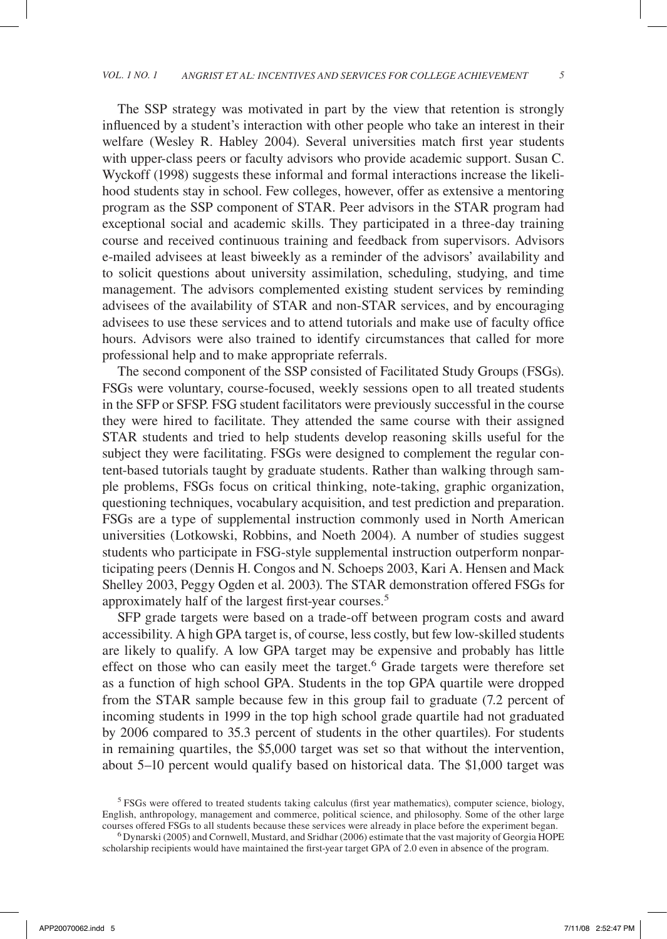The SSP strategy was motivated in part by the view that retention is strongly influenced by a student's interaction with other people who take an interest in their welfare (Wesley R. Habley 2004). Several universities match first year students with upper-class peers or faculty advisors who provide academic support. Susan C. Wyckoff (1998) suggests these informal and formal interactions increase the likelihood students stay in school. Few colleges, however, offer as extensive a mentoring program as the SSP component of STAR. Peer advisors in the STAR program had exceptional social and academic skills. They participated in a three-day training course and received continuous training and feedback from supervisors. Advisors e-mailed advisees at least biweekly as a reminder of the advisors' availability and to solicit questions about university assimilation, scheduling, studying, and time management. The advisors complemented existing student services by reminding advisees of the availability of STAR and non-STAR services, and by encouraging advisees to use these services and to attend tutorials and make use of faculty office hours. Advisors were also trained to identify circumstances that called for more professional help and to make appropriate referrals.

The second component of the SSP consisted of Facilitated Study Groups (FSGs). FSGs were voluntary, course-focused, weekly sessions open to all treated students in the SFP or SFSP. FSG student facilitators were previously successful in the course they were hired to facilitate. They attended the same course with their assigned STAR students and tried to help students develop reasoning skills useful for the subject they were facilitating. FSGs were designed to complement the regular content-based tutorials taught by graduate students. Rather than walking through sample problems, FSGs focus on critical thinking, note-taking, graphic organization, questioning techniques, vocabulary acquisition, and test prediction and preparation. FSGs are a type of supplemental instruction commonly used in North American universities (Lotkowski, Robbins, and Noeth 2004). A number of studies suggest students who participate in FSG-style supplemental instruction outperform nonparticipating peers (Dennis H. Congos and N. Schoeps 2003, Kari A. Hensen and Mack Shelley 2003, Peggy Ogden et al. 2003). The STAR demonstration offered FSGs for approximately half of the largest first-year courses.5

SFP grade targets were based on a trade-off between program costs and award accessibility. A high GPA target is, of course, less costly, but few low-skilled students are likely to qualify. A low GPA target may be expensive and probably has little effect on those who can easily meet the target.<sup>6</sup> Grade targets were therefore set as a function of high school GPA. Students in the top GPA quartile were dropped from the STAR sample because few in this group fail to graduate (7.2 percent of incoming students in 1999 in the top high school grade quartile had not graduated by 2006 compared to 35.3 percent of students in the other quartiles). For students in remaining quartiles, the \$5,000 target was set so that without the intervention, about 5–10 percent would qualify based on historical data. The \$1,000 target was

<sup>5</sup> FSGs were offered to treated students taking calculus (first year mathematics), computer science, biology, English, anthropology, management and commerce, political science, and philosophy. Some of the other large courses offered FSGs to all students because these services were already in place before the experiment began. 6 Dynarski (2005) and Cornwell, Mustard, and Sridhar (2006) estimate that the vast majority of Georgia HOPE

scholarship recipients would have maintained the first-year target GPA of 2.0 even in absence of the program.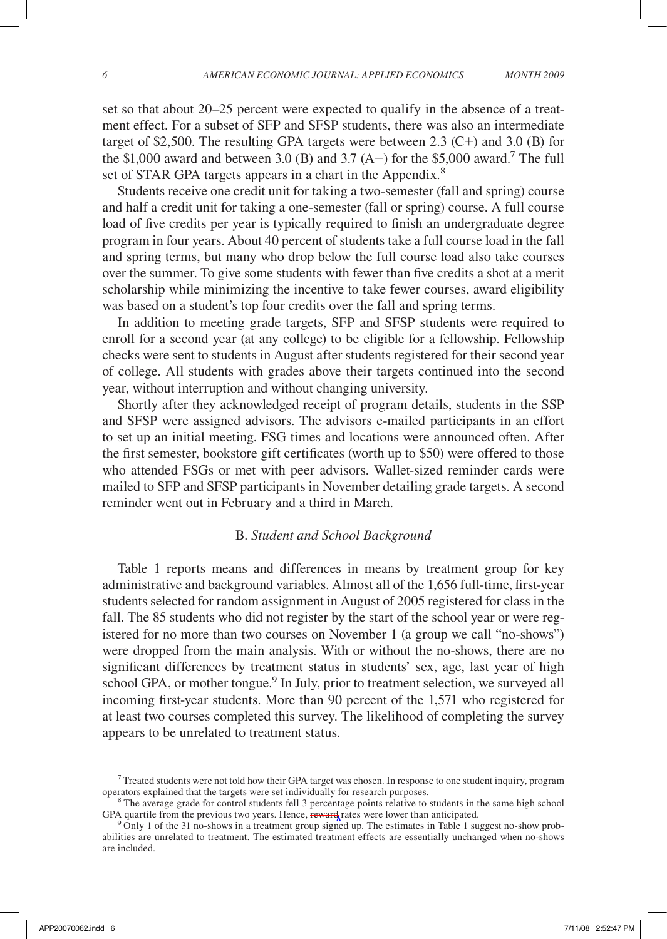set so that about 20–25 percent were expected to qualify in the absence of a treatment effect. For a subset of SFP and SFSP students, there was also an intermediate target of \$2,500. The resulting GPA targets were between 2.3 (C+) and 3.0 (B) for the \$1,000 award and between 3.0 (B) and 3.7  $(A-)$  for the \$5,000 award.<sup>7</sup> The full set of STAR GPA targets appears in a chart in the Appendix.<sup>8</sup>

Students receive one credit unit for taking a two-semester (fall and spring) course and half a credit unit for taking a one-semester (fall or spring) course. A full course load of five credits per year is typically required to finish an undergraduate degree program in four years. About 40 percent of students take a full course load in the fall and spring terms, but many who drop below the full course load also take courses over the summer. To give some students with fewer than five credits a shot at a merit scholarship while minimizing the incentive to take fewer courses, award eligibility was based on a student's top four credits over the fall and spring terms.

In addition to meeting grade targets, SFP and SFSP students were required to enroll for a second year (at any college) to be eligible for a fellowship. Fellowship checks were sent to students in August after students registered for their second year of college. All students with grades above their targets continued into the second year, without interruption and without changing university.

Shortly after they acknowledged receipt of program details, students in the SSP and SFSP were assigned advisors. The advisors e-mailed participants in an effort to set up an initial meeting. FSG times and locations were announced often. After the first semester, bookstore gift certificates (worth up to \$50) were offered to those who attended FSGs or met with peer advisors. Wallet-sized reminder cards were mailed to SFP and SFSP participants in November detailing grade targets. A second reminder went out in February and a third in March.

#### B. *Student and School Background*

Table 1 reports means and differences in means by treatment group for key administrative and background variables. Almost all of the 1,656 full-time, first-year students selected for random assignment in August of 2005 registered for class in the fall. The 85 students who did not register by the start of the school year or were registered for no more than two courses on November 1 (a group we call "no-shows") were dropped from the main analysis. With or without the no-shows, there are no significant differences by treatment status in students' sex, age, last year of high school GPA, or mother tongue.<sup>9</sup> In July, prior to treatment selection, we surveyed all incoming first-year students. More than 90 percent of the 1,571 who registered for at least two courses completed this survey. The likelihood of completing the survey appears to be unrelated to treatment status.

<sup>&</sup>lt;sup>7</sup>Treated students were not told how their GPA target was chosen. In response to one student inquiry, program operators explained that the targets were set individually for research purposes.

<sup>&</sup>lt;sup>8</sup> The average grade for control students fell 3 percentage points relative to students in the same high school GPA quartile from the previous two years. Hence, reward rates were lower than anticipated.

 $\degree$  Only 1 of the 31 no-shows in a treatment group signed up. The estimates in Table 1 suggest no-show probabilities are unrelated to treatment. The estimated treatment effects are essentially unchanged when no-shows are included.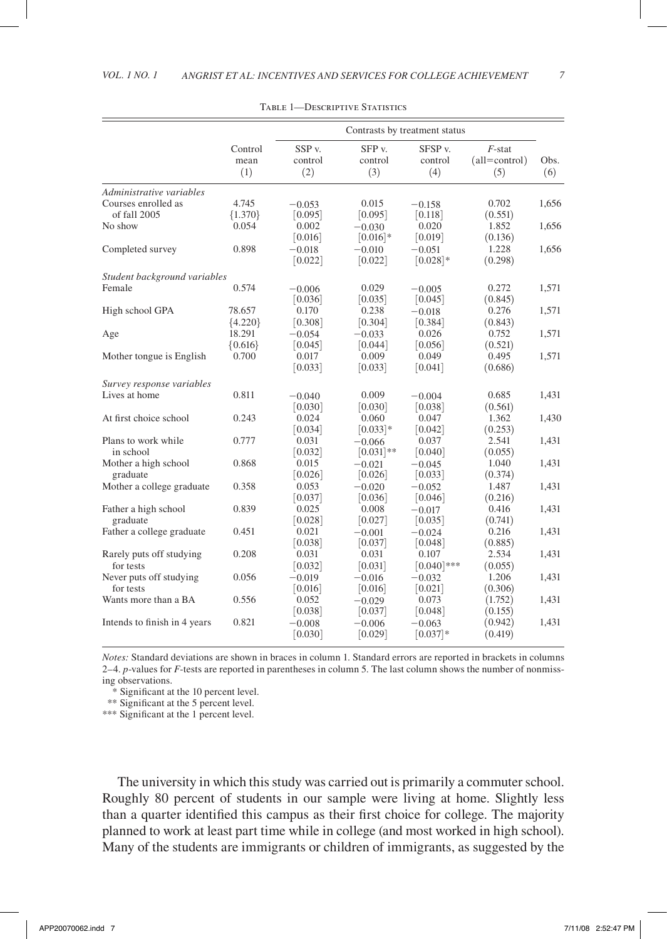|                              | Contrasts by treatment status |                                      |                                      |                                       |                                      |             |  |
|------------------------------|-------------------------------|--------------------------------------|--------------------------------------|---------------------------------------|--------------------------------------|-------------|--|
|                              | Control<br>mean<br>(1)        | SSP <sub>v</sub> .<br>control<br>(2) | SFP <sub>v</sub> .<br>control<br>(3) | SFSP <sub>v</sub> .<br>control<br>(4) | $F$ -stat<br>$(al = control)$<br>(5) | Obs.<br>(6) |  |
| Administrative variables     |                               |                                      |                                      |                                       |                                      |             |  |
| Courses enrolled as          | 4.745                         | $-0.053$                             | 0.015                                | $-0.158$                              | 0.702                                | 1,656       |  |
| of fall 2005                 | ${1.370}$                     | $\lceil 0.095 \rceil$                | [0.095]                              | [0.118]                               | (0.551)                              |             |  |
| No show                      | 0.054                         | 0.002                                | $-0.030$                             | 0.020                                 | 1.852                                | 1,656       |  |
|                              |                               | $\lceil 0.016 \rceil$                | $[0.016]$ <sup>*</sup>               | [0.019]                               | (0.136)                              |             |  |
| Completed survey             | 0.898                         | $-0.018$                             | $-0.010$                             | $-0.051$                              | 1.228                                | 1,656       |  |
|                              |                               | $[0.022]$                            | $[0.022]$                            | $[0.028]$ *                           | (0.298)                              |             |  |
| Student background variables |                               |                                      |                                      |                                       |                                      |             |  |
| Female                       | 0.574                         | $-0.006$                             | 0.029                                | $-0.005$                              | 0.272                                | 1,571       |  |
|                              |                               | $\lceil 0.036 \rceil$                | [0.035]                              | [0.045]                               | (0.845)                              |             |  |
| High school GPA              | 78.657                        | 0.170                                | 0.238                                | $-0.018$                              | 0.276                                | 1,571       |  |
|                              | ${4.220}$                     | [0.308]                              | [0.304]                              | [0.384]                               | (0.843)                              |             |  |
| Age                          | 18.291                        | $-0.054$                             | $-0.033$                             | 0.026                                 | 0.752                                | 1,571       |  |
|                              | ${0.616}$                     | 0.045                                | [0.044]                              | 0.056                                 | (0.521)                              |             |  |
| Mother tongue is English     | 0.700                         | 0.017                                | 0.009                                | 0.049                                 | 0.495                                | 1,571       |  |
|                              |                               | [0.033]                              | [0.033]                              | 0.041                                 | (0.686)                              |             |  |
| Survey response variables    |                               |                                      |                                      |                                       |                                      |             |  |
| Lives at home                | 0.811                         | $-0.040$                             | 0.009                                | $-0.004$                              | 0.685                                | 1.431       |  |
|                              |                               | $\lceil 0.030 \rceil$                | $\left[0.030\right]$                 | 0.038                                 | (0.561)                              |             |  |
| At first choice school       | 0.243                         | 0.024                                | 0.060                                | 0.047                                 | 1.362                                | 1,430       |  |
|                              |                               | 0.034                                | $[0.033]*$                           | $\lceil 0.042 \rceil$                 | (0.253)                              |             |  |
| Plans to work while          | 0.777                         | 0.031                                | $-0.066$                             | 0.037                                 | 2.541                                | 1.431       |  |
| in school                    |                               | $\lceil 0.032 \rceil$                | $[0.031]$ **                         | [0.040]                               | (0.055)                              |             |  |
| Mother a high school         | 0.868                         | 0.015                                | $-0.021$                             | $-0.045$                              | 1.040                                | 1,431       |  |
| graduate                     |                               | $\lceil 0.026 \rceil$                | 0.026                                | [0.033]                               | (0.374)                              |             |  |
| Mother a college graduate    | 0.358                         | 0.053                                | $-0.020$                             | $-0.052$                              | 1.487                                | 1.431       |  |
|                              |                               | 0.037                                | 0.036                                | 0.046                                 | (0.216)                              |             |  |
| Father a high school         | 0.839                         | 0.025                                | 0.008                                | $-0.017$                              | 0.416                                | 1,431       |  |
| graduate                     |                               | $\lceil 0.028 \rceil$                | $[0.027]$                            | 0.035                                 | (0.741)                              |             |  |
| Father a college graduate    | 0.451                         | 0.021                                | $-0.001$                             | $-0.024$                              | 0.216                                | 1,431       |  |
|                              |                               | $\vert 0.038 \vert$                  | $\left[0.037\right]$                 | 0.048                                 | (0.885)                              |             |  |
| Rarely puts off studying     | 0.208                         | 0.031                                | 0.031                                | 0.107                                 | 2.534                                | 1,431       |  |
| for tests                    |                               | [0.032]                              | [0.031]                              | $[0.040]$ ***                         | (0.055)                              |             |  |
| Never puts off studying      | 0.056                         |                                      |                                      |                                       | 1.206                                |             |  |
| for tests                    |                               | $-0.019$                             | $-0.016$                             | $-0.032$                              |                                      | 1,431       |  |
|                              |                               | 0.016                                | [0.016]                              | 0.021                                 | (0.306)                              |             |  |
| Wants more than a BA         | 0.556                         | 0.052                                | $-0.029$                             | 0.073                                 | (1.752)                              | 1,431       |  |
|                              |                               | $\lceil 0.038 \rceil$                | $\left[0.037\right]$                 | $\lceil 0.048 \rceil$                 | (0.155)                              |             |  |
| Intends to finish in 4 years | 0.821                         | $-0.008$                             | $-0.006$                             | $-0.063$                              | (0.942)                              | 1,431       |  |
|                              |                               | $\lceil 0.030 \rceil$                | [0.029]                              | $[0.037]*$                            | (0.419)                              |             |  |

TABLE 1-DESCRIPTIVE STATISTICS

*Notes:* Standard deviations are shown in braces in column 1. Standard errors are reported in brackets in columns 2–4. *p*-values for *F*-tests are reported in parentheses in column 5. The last column shows the number of nonmissing observations.

\* Significant at the 10 percent level.

\*\* Significant at the 5 percent level.

\*\*\* Significant at the 1 percent level.

The university in which this study was carried out is primarily a commuter school. Roughly 80 percent of students in our sample were living at home. Slightly less than a quarter identified this campus as their first choice for college. The majority planned to work at least part time while in college (and most worked in high school). Many of the students are immigrants or children of immigrants, as suggested by the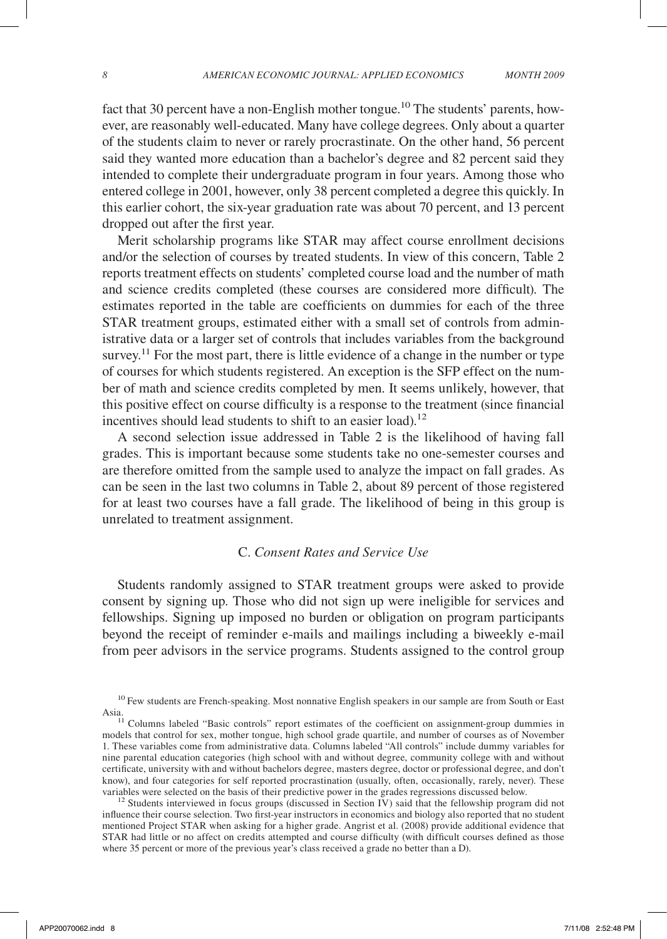fact that 30 percent have a non-English mother tongue.<sup>10</sup> The students' parents, however, are reasonably well-educated. Many have college degrees. Only about a quarter of the students claim to never or rarely procrastinate. On the other hand, 56 percent said they wanted more education than a bachelor's degree and 82 percent said they intended to complete their undergraduate program in four years. Among those who entered college in 2001, however, only 38 percent completed a degree this quickly. In this earlier cohort, the six-year graduation rate was about 70 percent, and 13 percent dropped out after the first year.

Merit scholarship programs like STAR may affect course enrollment decisions and/or the selection of courses by treated students. In view of this concern, Table 2 reports treatment effects on students' completed course load and the number of math and science credits completed (these courses are considered more difficult). The estimates reported in the table are coefficients on dummies for each of the three STAR treatment groups, estimated either with a small set of controls from administrative data or a larger set of controls that includes variables from the background survey.<sup>11</sup> For the most part, there is little evidence of a change in the number or type of courses for which students registered. An exception is the SFP effect on the number of math and science credits completed by men. It seems unlikely, however, that this positive effect on course difficulty is a response to the treatment (since financial incentives should lead students to shift to an easier load).<sup>12</sup>

A second selection issue addressed in Table 2 is the likelihood of having fall grades. This is important because some students take no one-semester courses and are therefore omitted from the sample used to analyze the impact on fall grades. As can be seen in the last two columns in Table 2, about 89 percent of those registered for at least two courses have a fall grade. The likelihood of being in this group is unrelated to treatment assignment.

# C. *Consent Rates and Service Use*

Students randomly assigned to STAR treatment groups were asked to provide consent by signing up. Those who did not sign up were ineligible for services and fellowships. Signing up imposed no burden or obligation on program participants beyond the receipt of reminder e-mails and mailings including a biweekly e-mail from peer advisors in the service programs. Students assigned to the control group

<sup>&</sup>lt;sup>10</sup> Few students are French-speaking. Most nonnative English speakers in our sample are from South or East Asia. 11 Columns labeled "Basic controls" report estimates of the coefficient on assignment-group dummies in

models that control for sex, mother tongue, high school grade quartile, and number of courses as of November 1. These variables come from administrative data. Columns labeled "All controls" include dummy variables for nine parental education categories (high school with and without degree, community college with and without certificate, university with and without bachelors degree, masters degree, doctor or professional degree, and don't know), and four categories for self reported procrastination (usually, often, occasionally, rarely, never). These variables were selected on the basis of their predictive power in the grades regressions discussed below.

<sup>&</sup>lt;sup>12</sup> Students interviewed in focus groups (discussed in Section IV) said that the fellowship program did not influence their course selection. Two first-year instructors in economics and biology also reported that no student mentioned Project STAR when asking for a higher grade. Angrist et al. (2008) provide additional evidence that STAR had little or no affect on credits attempted and course difficulty (with difficult courses defined as those where 35 percent or more of the previous year's class received a grade no better than a D).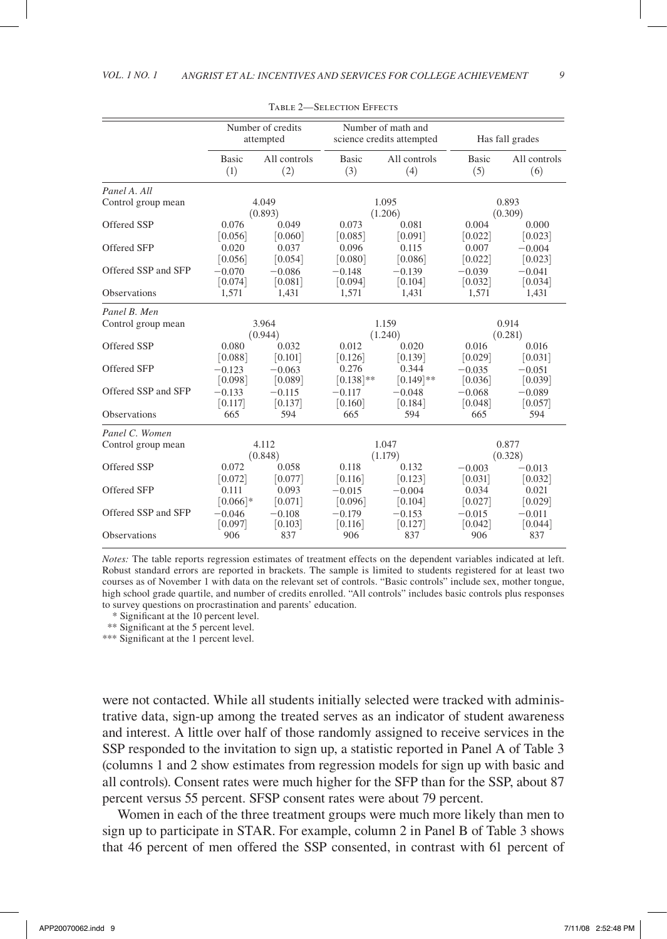|                     |                       | Number of credits<br>attempted | Number of math and<br>science credits attempted |                       |                       | Has fall grades       |  |
|---------------------|-----------------------|--------------------------------|-------------------------------------------------|-----------------------|-----------------------|-----------------------|--|
|                     | <b>Basic</b>          | All controls                   | <b>Basic</b>                                    | All controls          | <b>Basic</b>          | All controls          |  |
|                     | (1)                   | (2)                            | (3)                                             | (4)                   | (5)                   | (6)                   |  |
| Panel A. All        |                       |                                |                                                 |                       |                       |                       |  |
| Control group mean  |                       | 4.049<br>(0.893)               |                                                 | 1.095<br>(1.206)      |                       | 0.893<br>(0.309)      |  |
| Offered SSP         | 0.076                 | 0.049                          | 0.073                                           | 0.081                 | 0.004                 | 0.000                 |  |
|                     | $\left[0.056\right]$  | [0.060]                        | $\lceil 0.085 \rceil$                           | $\lceil 0.091 \rceil$ | $\lceil 0.022 \rceil$ | [0.023]               |  |
| Offered SFP         | 0.020                 | 0.037                          | 0.096                                           | 0.115                 | 0.007                 | $-0.004$              |  |
|                     | $\left[0.056\right]$  | [0.054]                        | [0.080]                                         | [0.086]               | $\left[0.022\right]$  | [0.023]               |  |
| Offered SSP and SFP | $-0.070$              | $-0.086$                       | $-0.148$                                        | $-0.139$              | $-0.039$              | $-0.041$              |  |
|                     | $[0.074]$             | $[0.081]$                      | $\lceil 0.094 \rceil$                           | $\lceil 0.104 \rceil$ | $\left[0.032\right]$  | [0.034]               |  |
| Observations        | 1,571                 | 1,431                          | 1,571                                           | 1,431                 | 1,571                 | 1,431                 |  |
| Panel B. Men        |                       |                                |                                                 |                       |                       |                       |  |
| Control group mean  |                       | 3.964<br>(0.944)               |                                                 | 1.159<br>(1.240)      |                       | 0.914<br>(0.281)      |  |
| Offered SSP         | 0.080                 | 0.032                          | 0.012                                           | 0.020                 | 0.016                 | 0.016                 |  |
|                     | [0.088]               | $\lceil 0.101 \rceil$          | $\lceil 0.126 \rceil$                           | $\lceil 0.139 \rceil$ | [0.029]               | [0.031]               |  |
| Offered SFP         | $-0.123$              | $-0.063$                       | 0.276                                           | 0.344                 | $-0.035$              | $-0.051$              |  |
|                     | [0.098]               | 0.089                          | $[0.138]$ **                                    | $[0.149]$ **          | 0.036                 | 0.039                 |  |
| Offered SSP and SFP | $-0.133$              | $-0.115$                       | $-0.117$                                        | $-0.048$              | $-0.068$              | $-0.089$              |  |
|                     | [0.117]               | [0.137]                        | [0.160]                                         | [0.184]               | [0.048]               | $\left[0.057\right]$  |  |
| Observations        | 665                   | 594                            | 665                                             | 594                   | 665                   | 594                   |  |
| Panel C. Women      |                       |                                |                                                 |                       |                       |                       |  |
| Control group mean  |                       | 4.112<br>(0.848)               |                                                 | 1.047<br>(1.179)      |                       | 0.877<br>(0.328)      |  |
| Offered SSP         | 0.072                 | 0.058                          | 0.118                                           | 0.132                 | $-0.003$              | $-0.013$              |  |
|                     | $\lceil 0.072 \rceil$ | [0.077]                        | [0.116]                                         | [0.123]               | [0.031]               | $\left[0.032\right]$  |  |
| Offered SFP         | 0.111                 | 0.093                          | $-0.015$                                        | $-0.004$              | 0.034                 | 0.021                 |  |
|                     | $[0.066]$ *           | [0.071]                        | [0.096]                                         | [0.104]               | $\lceil 0.027 \rceil$ | $\lceil 0.029 \rceil$ |  |
| Offered SSP and SFP | $-0.046$              | $-0.108$                       | $-0.179$                                        | $-0.153$              | $-0.015$              | $-0.011$              |  |
|                     | [0.097]               | [0.103]                        | $\lceil 0.116 \rceil$                           | $\lceil 0.127 \rceil$ | $\lceil 0.042 \rceil$ | $\lceil 0.044 \rceil$ |  |
| Observations        | 906                   | 837                            | 906                                             | 837                   | 906                   | 837                   |  |

Table 2—Selection Effects

*Notes:* The table reports regression estimates of treatment effects on the dependent variables indicated at left. Robust standard errors are reported in brackets. The sample is limited to students registered for at least two courses as of November 1 with data on the relevant set of controls. "Basic controls" include sex, mother tongue, high school grade quartile, and number of credits enrolled. "All controls" includes basic controls plus responses to survey questions on procrastination and parents' education.

\* Significant at the 10 percent level.

\*\* Significant at the 5 percent level.

\*\*\* Significant at the 1 percent level.

were not contacted. While all students initially selected were tracked with administrative data, sign-up among the treated serves as an indicator of student awareness and interest. A little over half of those randomly assigned to receive services in the SSP responded to the invitation to sign up, a statistic reported in Panel A of Table 3 (columns 1 and 2 show estimates from regression models for sign up with basic and all controls). Consent rates were much higher for the SFP than for the SSP, about 87 percent versus 55 percent. SFSP consent rates were about 79 percent.

Women in each of the three treatment groups were much more likely than men to sign up to participate in STAR. For example, column 2 in Panel B of Table 3 shows that 46 percent of men offered the SSP consented, in contrast with 61 percent of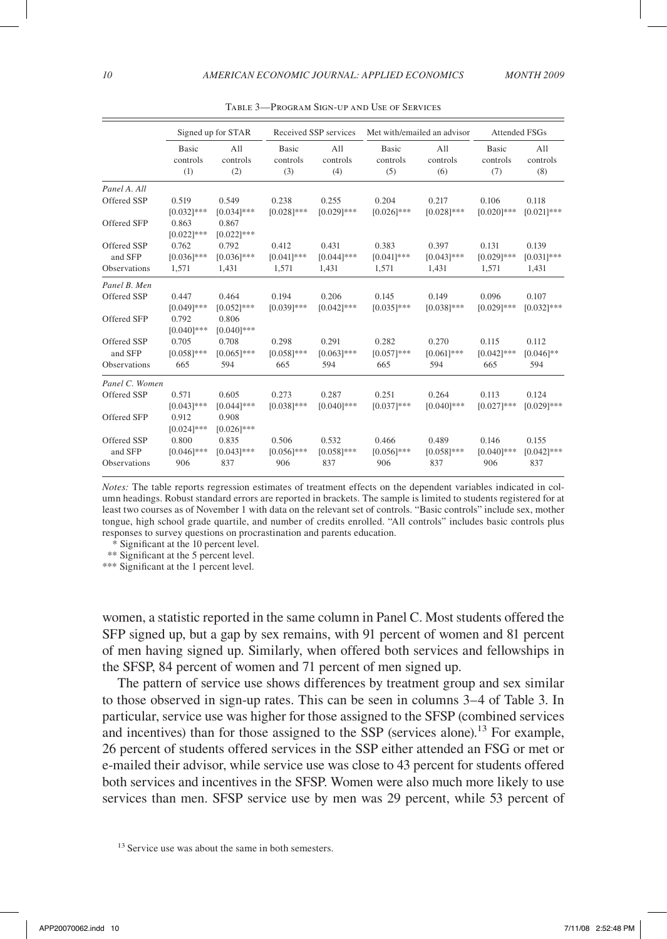|                                        |                                 | Signed up for STAR              | Received SSP services           |                                 |                                 | Met with/emailed an advisor     |                                 | <b>Attended FSGs</b>            |  |
|----------------------------------------|---------------------------------|---------------------------------|---------------------------------|---------------------------------|---------------------------------|---------------------------------|---------------------------------|---------------------------------|--|
|                                        | Basic<br>controls<br>(1)        | A11<br>controls<br>(2)          | <b>Basic</b><br>controls<br>(3) | A11<br>controls<br>(4)          | <b>Basic</b><br>controls<br>(5) | A11<br>controls<br>(6)          | <b>Basic</b><br>controls<br>(7) | A11<br>controls<br>(8)          |  |
| Panel A. All                           |                                 |                                 |                                 |                                 |                                 |                                 |                                 |                                 |  |
| Offered SSP                            | 0.519<br>$[0.032]$ ***          | 0.549<br>$[0.034]$ ***          | 0.238<br>$[0.028]$ ***          | 0.255<br>$[0.029]$ ***          | 0.204<br>$[0.026]$ ***          | 0.217<br>$[0.028]$ ***          | 0.106<br>$[0.020]$ ***          | 0.118<br>$[0.021]$ ***          |  |
| Offered SFP                            | 0.863<br>$[0.022]$ ***          | 0.867<br>$[0.022]$ ***          |                                 |                                 |                                 |                                 |                                 |                                 |  |
| Offered SSP<br>and SFP<br>Observations | 0.762<br>$[0.036]$ ***<br>1,571 | 0.792<br>$[0.036]$ ***<br>1,431 | 0.412<br>$[0.041]$ ***<br>1,571 | 0.431<br>$[0.044]$ ***<br>1,431 | 0.383<br>$[0.041]$ ***<br>1,571 | 0.397<br>$[0.043]$ ***<br>1,431 | 0.131<br>$[0.029]$ ***<br>1,571 | 0.139<br>$[0.031]$ ***<br>1,431 |  |
| Panel B. Men                           |                                 |                                 |                                 |                                 |                                 |                                 |                                 |                                 |  |
| Offered SSP                            | 0.447<br>$[0.049]$ ***          | 0.464<br>$[0.052]$ ***          | 0.194<br>$[0.039]$ ***          | 0.206<br>$[0.042]$ ***          | 0.145<br>$[0.035]$ ***          | 0.149<br>$[0.038]$ ***          | 0.096<br>$[0.029]$ ***          | 0.107<br>$[0.032]$ ***          |  |
| Offered SFP                            | 0.792<br>$[0.040]$ ***          | 0.806<br>$[0.040]$ ***          |                                 |                                 |                                 |                                 |                                 |                                 |  |
| Offered SSP<br>and SFP<br>Observations | 0.705<br>$[0.058]$ ***<br>665   | 0.708<br>$[0.065]$ ***<br>594   | 0.298<br>$[0.058]$ ***<br>665   | 0.291<br>$[0.063]$ ***<br>594   | 0.282<br>$[0.057]$ ***<br>665   | 0.270<br>$[0.061]$ ***<br>594   | 0.115<br>$[0.042]$ ***<br>665   | 0.112<br>$[0.046]$ **<br>594    |  |
|                                        |                                 |                                 |                                 |                                 |                                 |                                 |                                 |                                 |  |
| Panel C. Women<br>Offered SSP          | 0.571<br>$[0.043]$ ***          | 0.605<br>$[0.044]$ ***          | 0.273<br>$[0.038]$ ***          | 0.287<br>$[0.040]$ ***          | 0.251<br>$[0.037]$ ***          | 0.264<br>$[0.040]$ ***          | 0.113<br>$[0.027]$ ***          | 0.124<br>$[0.029]$ ***          |  |
| Offered SFP                            | 0.912<br>$[0.024]$ ***          | 0.908<br>$[0.026]$ ***          |                                 |                                 |                                 |                                 |                                 |                                 |  |
| Offered SSP<br>and SFP                 | 0.800<br>$[0.046]$ ***          | 0.835<br>$[0.043]$ ***          | 0.506<br>$[0.056]$ ***<br>906   | 0.532<br>$[0.058]$ ***<br>837   | 0.466<br>$[0.056]$ ***<br>906   | 0.489<br>$[0.058]$ ***<br>837   | 0.146<br>$[0.040]$ ***<br>906   | 0.155<br>$[0.042]$ ***          |  |
| <b>Observations</b>                    | 906                             | 837                             |                                 |                                 |                                 |                                 |                                 | 837                             |  |

Table 3—Program Sign-up and Use of Services

*Notes:* The table reports regression estimates of treatment effects on the dependent variables indicated in column headings. Robust standard errors are reported in brackets. The sample is limited to students registered for at least two courses as of November 1 with data on the relevant set of controls. "Basic controls" include sex, mother tongue, high school grade quartile, and number of credits enrolled. "All controls" includes basic controls plus responses to survey questions on procrastination and parents education.

\* Significant at the 10 percent level.

\*\* Significant at the 5 percent level.

\*\*\* Significant at the 1 percent level.

women, a statistic reported in the same column in Panel C. Most students offered the SFP signed up, but a gap by sex remains, with 91 percent of women and 81 percent of men having signed up. Similarly, when offered both services and fellowships in the SFSP, 84 percent of women and 71 percent of men signed up.

The pattern of service use shows differences by treatment group and sex similar to those observed in sign-up rates. This can be seen in columns 3–4 of Table 3. In particular, service use was higher for those assigned to the SFSP (combined services and incentives) than for those assigned to the SSP (services alone).<sup>13</sup> For example, 26 percent of students offered services in the SSP either attended an FSG or met or e-mailed their advisor, while service use was close to 43 percent for students offered both services and incentives in the SFSP. Women were also much more likely to use services than men. SFSP service use by men was 29 percent, while 53 percent of

<sup>&</sup>lt;sup>13</sup> Service use was about the same in both semesters.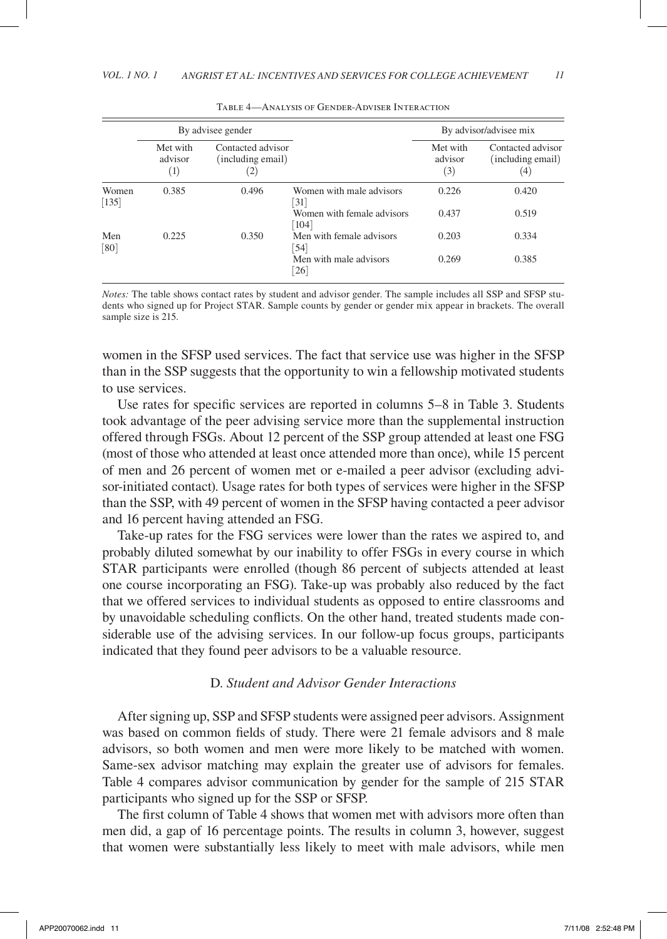|                              |                                         | By advisee gender                                           |                                   |                            | By advisor/advisee mix                        |
|------------------------------|-----------------------------------------|-------------------------------------------------------------|-----------------------------------|----------------------------|-----------------------------------------------|
|                              | Met with<br>advisor<br>$\left(1\right)$ | Contacted advisor<br>(including email)<br>$\left( 2\right)$ |                                   | Met with<br>advisor<br>(3) | Contacted advisor<br>(including email)<br>(4) |
| Women<br>$\lceil 135 \rceil$ | 0.385                                   | 0.496                                                       | Women with male advisors<br>31    | 0.226                      | 0.420                                         |
|                              |                                         |                                                             | Women with female advisors<br>104 | 0.437                      | 0.519                                         |
| Men<br>$\lceil 80 \rceil$    | 0.225                                   | 0.350                                                       | Men with female advisors<br>54    | 0.203                      | 0.334                                         |
|                              |                                         |                                                             | Men with male advisors<br>26      | 0.269                      | 0.385                                         |

Table 4—Analysis of Gender-Adviser Interaction

*Notes:* The table shows contact rates by student and advisor gender. The sample includes all SSP and SFSP students who signed up for Project STAR. Sample counts by gender or gender mix appear in brackets. The overall sample size is 215.

women in the SFSP used services. The fact that service use was higher in the SFSP than in the SSP suggests that the opportunity to win a fellowship motivated students to use services.

Use rates for specific services are reported in columns 5–8 in Table 3. Students took advantage of the peer advising service more than the supplemental instruction offered through FSGs. About 12 percent of the SSP group attended at least one FSG (most of those who attended at least once attended more than once), while 15 percent of men and 26 percent of women met or e-mailed a peer advisor (excluding advisor-initiated contact). Usage rates for both types of services were higher in the SFSP than the SSP, with 49 percent of women in the SFSP having contacted a peer advisor and 16 percent having attended an FSG.

Take-up rates for the FSG services were lower than the rates we aspired to, and probably diluted somewhat by our inability to offer FSGs in every course in which STAR participants were enrolled (though 86 percent of subjects attended at least one course incorporating an FSG). Take-up was probably also reduced by the fact that we offered services to individual students as opposed to entire classrooms and by unavoidable scheduling conflicts. On the other hand, treated students made considerable use of the advising services. In our follow-up focus groups, participants indicated that they found peer advisors to be a valuable resource.

## D. *Student and Advisor Gender Interactions*

After signing up, SSP and SFSP students were assigned peer advisors. Assignment was based on common fields of study. There were 21 female advisors and 8 male advisors, so both women and men were more likely to be matched with women. Same-sex advisor matching may explain the greater use of advisors for females. Table 4 compares advisor communication by gender for the sample of 215 STAR participants who signed up for the SSP or SFSP.

The first column of Table 4 shows that women met with advisors more often than men did, a gap of 16 percentage points. The results in column 3, however, suggest that women were substantially less likely to meet with male advisors, while men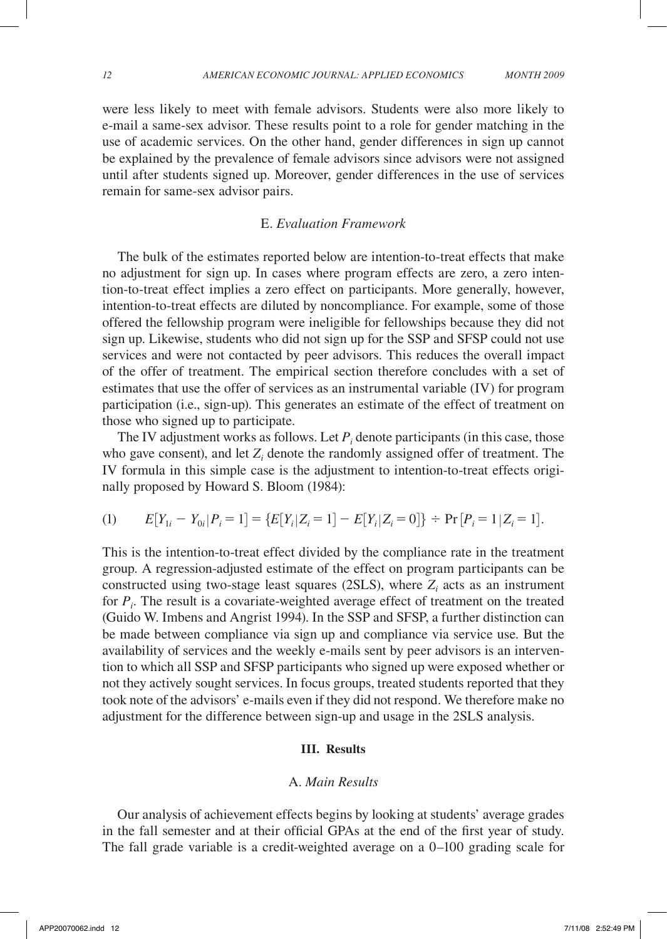were less likely to meet with female advisors. Students were also more likely to e-mail a same-sex advisor. These results point to a role for gender matching in the use of academic services. On the other hand, gender differences in sign up cannot be explained by the prevalence of female advisors since advisors were not assigned until after students signed up. Moreover, gender differences in the use of services remain for same-sex advisor pairs.

# E. *Evaluation Framework*

The bulk of the estimates reported below are intention-to-treat effects that make no adjustment for sign up. In cases where program effects are zero, a zero intention-to-treat effect implies a zero effect on participants. More generally, however, intention-to-treat effects are diluted by noncompliance. For example, some of those offered the fellowship program were ineligible for fellowships because they did not sign up. Likewise, students who did not sign up for the SSP and SFSP could not use services and were not contacted by peer advisors. This reduces the overall impact of the offer of treatment. The empirical section therefore concludes with a set of estimates that use the offer of services as an instrumental variable (IV) for program participation (i.e., sign-up). This generates an estimate of the effect of treatment on those who signed up to participate.

The IV adjustment works as follows. Let  $P_i$  denote participants (in this case, those who gave consent), and let  $Z_i$  denote the randomly assigned offer of treatment. The IV formula in this simple case is the adjustment to intention-to-treat effects originally proposed by Howard S. Bloom (1984):

$$
(1) \qquad E[Y_{1i} - Y_{0i} | P_i = 1] = \{E[Y_i | Z_i = 1] - E[Y_i | Z_i = 0]\} \div \Pr[P_i = 1 | Z_i = 1].
$$

This is the intention-to-treat effect divided by the compliance rate in the treatment group. A regression-adjusted estimate of the effect on program participants can be constructed using two-stage least squares  $(2SLS)$ , where  $Z_i$  acts as an instrument for  $P_i$ . The result is a covariate-weighted average effect of treatment on the treated (Guido W. Imbens and Angrist 1994). In the SSP and SFSP, a further distinction can be made between compliance via sign up and compliance via service use. But the availability of services and the weekly e-mails sent by peer advisors is an intervention to which all SSP and SFSP participants who signed up were exposed whether or not they actively sought services. In focus groups, treated students reported that they took note of the advisors' e-mails even if they did not respond. We therefore make no adjustment for the difference between sign-up and usage in the 2SLS analysis.

### **III. Results**

#### A. *Main Results*

Our analysis of achievement effects begins by looking at students' average grades in the fall semester and at their official GPAs at the end of the first year of study. The fall grade variable is a credit-weighted average on a 0–100 grading scale for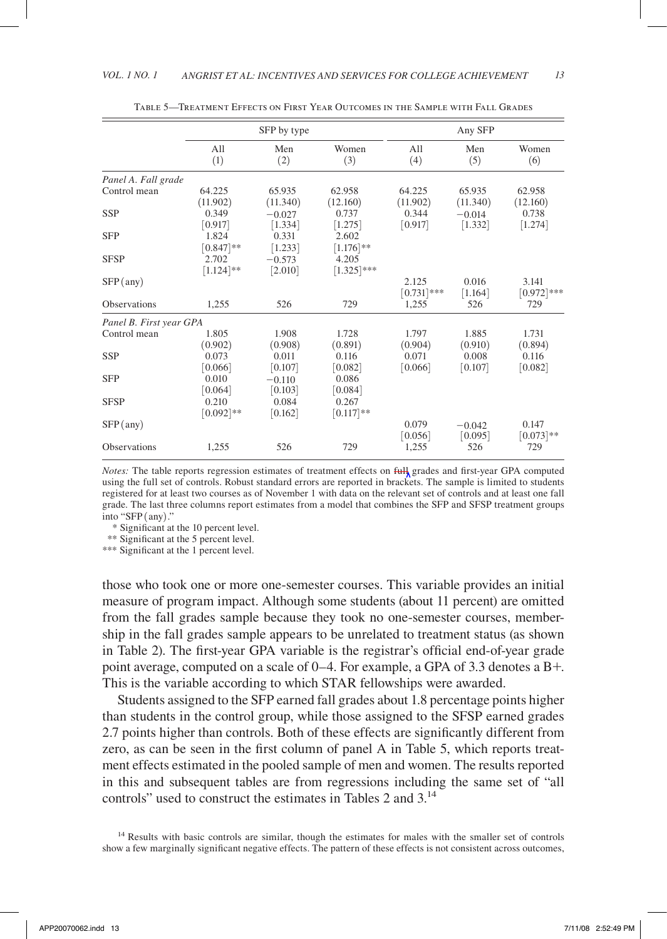|                         |                                | SFP by type                       |                                |                                | Any SFP             |                        |
|-------------------------|--------------------------------|-----------------------------------|--------------------------------|--------------------------------|---------------------|------------------------|
|                         | A11<br>(1)                     | Men<br>(2)                        | Women<br>(3)                   | A11<br>(4)                     | Men<br>(5)          | Women<br>(6)           |
| Panel A. Fall grade     |                                |                                   |                                |                                |                     |                        |
| Control mean            | 64.225<br>(11.902)             | 65.935<br>(11.340)                | 62.958<br>(12.160)             | 64.225<br>(11.902)             | 65.935<br>(11.340)  | 62.958<br>(12.160)     |
| <b>SSP</b>              | 0.349<br>[0.917]               | $-0.027$<br>[1.334]               | 0.737<br>$[1.275]$             | 0.344<br>[0.917]               | $-0.014$<br>[1.332] | 0.738<br>$[1.274]$     |
| <b>SFP</b>              | 1.824<br>$[0.847]**$           | 0.331<br>$[1.233]$                | 2.602<br>$[1.176]$ **          |                                |                     |                        |
| <b>SFSP</b>             | 2.702<br>$[1.124]$ **          | $-0.573$<br>$\lceil 2.010 \rceil$ | 4.205<br>$[1.325]$ ***         |                                |                     |                        |
| $SFP($ any $)$          |                                |                                   |                                | 2.125<br>$[0.731]$ ***         | 0.016<br>$[1.164]$  | 3.141<br>$[0.972]$ *** |
| <b>Observations</b>     | 1,255                          | 526                               | 729                            | 1,255                          | 526                 | 729                    |
| Panel B. First year GPA |                                |                                   |                                |                                |                     |                        |
| Control mean            | 1.805<br>(0.902)               | 1.908<br>(0.908)                  | 1.728<br>(0.891)               | 1.797<br>(0.904)               | 1.885<br>(0.910)    | 1.731<br>(0.894)       |
| <b>SSP</b>              | 0.073<br>$\lceil 0.066 \rceil$ | 0.011<br>$\lceil 0.107 \rceil$    | 0.116<br>$\lceil 0.082 \rceil$ | 0.071<br>$\lceil 0.066 \rceil$ | 0.008<br>$[0.107]$  | 0.116<br>[0.082]       |
| <b>SFP</b>              | 0.010<br>[0.064]               | $-0.110$<br>$\lceil 0.103 \rceil$ | 0.086<br>$\lceil 0.084 \rceil$ |                                |                     |                        |
| <b>SFSP</b>             | 0.210<br>$[0.092]$ **          | 0.084<br>$\lceil 0.162 \rceil$    | 0.267<br>$[0.117]**$           |                                |                     |                        |
| SFP(any)                |                                |                                   |                                | 0.079<br>[0.056]               | $-0.042$<br>[0.095] | 0.147<br>$[0.073]**$   |
| <b>Observations</b>     | 1,255                          | 526                               | 729                            | 1,255                          | 526                 | 729                    |

Table 5—Treatment Effects on First Year Outcomes in the Sample with Fall Grades

*Notes:* The table reports regression estimates of treatment effects on full grades and first-year GPA computed using the full set of controls. Robust standard errors are reported in brackets. The sample is limited to students registered for at least two courses as of November 1 with data on the relevant set of controls and at least one fall grade. The last three columns report estimates from a model that combines the SFP and SFSP treatment groups into "SFP  $(any)$ ."

\* Significant at the 10 percent level.

\*\* Significant at the 5 percent level.

\*\*\* Significant at the 1 percent level.

those who took one or more one-semester courses. This variable provides an initial measure of program impact. Although some students (about 11 percent) are omitted from the fall grades sample because they took no one-semester courses, membership in the fall grades sample appears to be unrelated to treatment status (as shown in Table 2). The first-year GPA variable is the registrar's official end-of-year grade point average, computed on a scale of  $0-4$ . For example, a GPA of 3.3 denotes a B+. This is the variable according to which STAR fellowships were awarded.

Students assigned to the SFP earned fall grades about 1.8 percentage points higher than students in the control group, while those assigned to the SFSP earned grades 2.7 points higher than controls. Both of these effects are significantly different from zero, as can be seen in the first column of panel A in Table 5, which reports treatment effects estimated in the pooled sample of men and women. The results reported in this and subsequent tables are from regressions including the same set of "all controls" used to construct the estimates in Tables 2 and 3.14

<sup>14</sup> Results with basic controls are similar, though the estimates for males with the smaller set of controls show a few marginally significant negative effects. The pattern of these effects is not consistent across outcomes,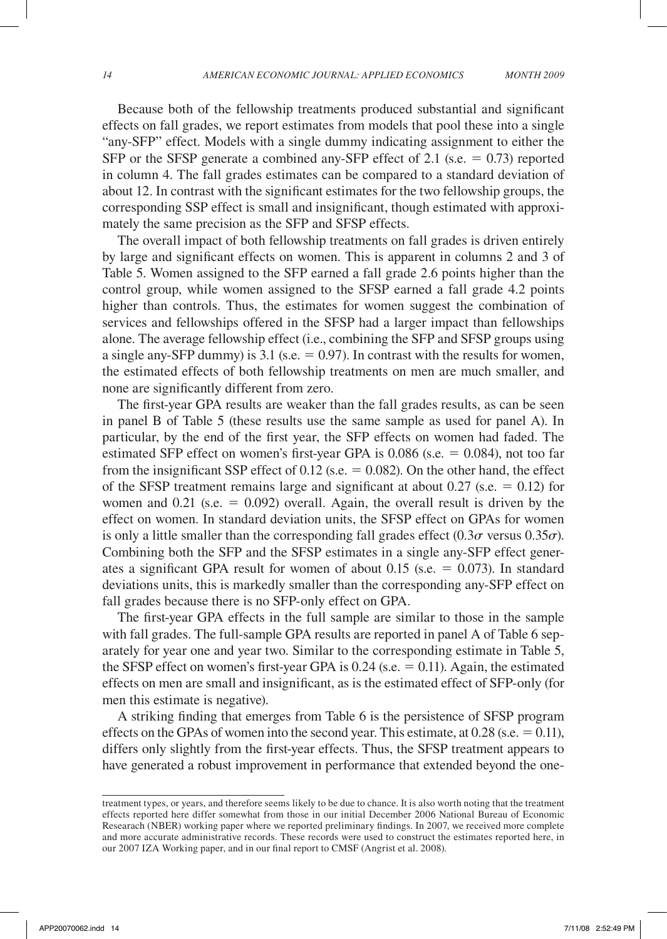Because both of the fellowship treatments produced substantial and significant effects on fall grades, we report estimates from models that pool these into a single "any-SFP" effect. Models with a single dummy indicating assignment to either the SFP or the SFSP generate a combined any-SFP effect of 2.1 (s.e.  $= 0.73$ ) reported in column 4. The fall grades estimates can be compared to a standard deviation of about 12. In contrast with the significant estimates for the two fellowship groups, the corresponding SSP effect is small and insignificant, though estimated with approximately the same precision as the SFP and SFSP effects.

The overall impact of both fellowship treatments on fall grades is driven entirely by large and significant effects on women. This is apparent in columns 2 and 3 of Table 5. Women assigned to the SFP earned a fall grade 2.6 points higher than the control group, while women assigned to the SFSP earned a fall grade 4.2 points higher than controls. Thus, the estimates for women suggest the combination of services and fellowships offered in the SFSP had a larger impact than fellowships alone. The average fellowship effect (i.e., combining the SFP and SFSP groups using a single any-SFP dummy) is 3.1 (s.e.  $= 0.97$ ). In contrast with the results for women, the estimated effects of both fellowship treatments on men are much smaller, and none are significantly different from zero.

The first-year GPA results are weaker than the fall grades results, as can be seen in panel B of Table 5 (these results use the same sample as used for panel A). In particular, by the end of the first year, the SFP effects on women had faded. The estimated SFP effect on women's first-year GPA is  $0.086$  (s.e.  $= 0.084$ ), not too far from the insignificant SSP effect of 0.12 (s.e.  $= 0.082$ ). On the other hand, the effect of the SFSP treatment remains large and significant at about 0.27 (s.e.  $= 0.12$ ) for women and  $0.21$  (s.e.  $= 0.092$ ) overall. Again, the overall result is driven by the effect on women. In standard deviation units, the SFSP effect on GPAs for women is only a little smaller than the corresponding fall grades effect  $(0.3\sigma$  versus  $0.35\sigma$ ). Combining both the SFP and the SFSP estimates in a single any-SFP effect generates a significant GPA result for women of about  $0.15$  (s.e.  $= 0.073$ ). In standard deviations units, this is markedly smaller than the corresponding any-SFP effect on fall grades because there is no SFP-only effect on GPA.

The first-year GPA effects in the full sample are similar to those in the sample with fall grades. The full-sample GPA results are reported in panel A of Table 6 separately for year one and year two. Similar to the corresponding estimate in Table 5, the SFSP effect on women's first-year GPA is  $0.24$  (s.e.  $= 0.11$ ). Again, the estimated effects on men are small and insignificant, as is the estimated effect of SFP-only (for men this estimate is negative).

A striking finding that emerges from Table 6 is the persistence of SFSP program effects on the GPAs of women into the second year. This estimate, at  $0.28$  (s.e.  $= 0.11$ ), differs only slightly from the first-year effects. Thus, the SFSP treatment appears to have generated a robust improvement in performance that extended beyond the one-

treatment types, or years, and therefore seems likely to be due to chance. It is also worth noting that the treatment effects reported here differ somewhat from those in our initial December 2006 National Bureau of Economic Researach (NBER) working paper where we reported preliminary findings. In 2007, we received more complete and more accurate administrative records. These records were used to construct the estimates reported here, in our 2007 IZA Working paper, and in our final report to CMSF (Angrist et al. 2008).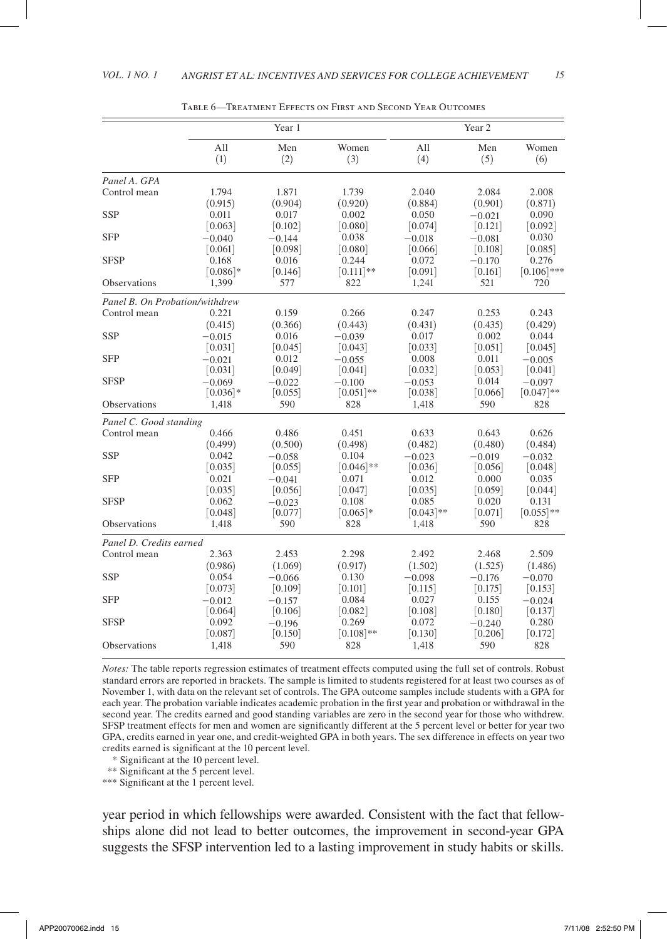|                                | Year 1                          |                       |                       | Year 2                |                       |                       |  |
|--------------------------------|---------------------------------|-----------------------|-----------------------|-----------------------|-----------------------|-----------------------|--|
|                                | All                             | Men                   | Women                 | All                   | Men                   | Women                 |  |
|                                | (1)                             | (2)                   | (3)                   | (4)                   | (5)                   | (6)                   |  |
| Panel A. GPA                   |                                 |                       |                       |                       |                       |                       |  |
| Control mean                   | 1.794                           | 1.871                 | 1.739                 | 2.040                 | 2.084                 | 2.008                 |  |
|                                | (0.915)                         | (0.904)               | (0.920)               | (0.884)               | (0.901)               | (0.871)               |  |
| <b>SSP</b>                     | 0.011                           | 0.017                 | 0.002                 | 0.050                 | $-0.021$              | 0.090                 |  |
|                                | [0.063]                         | $[0.102]$             | [0.080]               | [0.074]               | $[0.121]$             | $\lceil 0.092 \rceil$ |  |
| <b>SFP</b>                     | $-0.040$                        | $-0.144$              | 0.038                 | $-0.018$              | $-0.081$              | 0.030                 |  |
|                                | $\lceil 0.061 \rceil$           | [0.098]               | [0.080]               | [0.066]               | 0.108                 | $\lceil 0.085 \rceil$ |  |
| <b>SFSP</b>                    | 0.168                           | 0.016                 | 0.244                 | 0.072                 | $-0.170$              | 0.276                 |  |
|                                | $[0.086]$ *                     | [0.146]               | $[0.111]$ **          | [0.091]               | $[0.161]$             | $[0.106]$ ***         |  |
| Observations                   | 1.399                           | 577                   | 822                   | 1,241                 | 521                   | 720                   |  |
| Panel B. On Probation/withdrew |                                 |                       |                       |                       |                       |                       |  |
| Control mean                   | 0.221                           | 0.159                 | 0.266                 | 0.247                 | 0.253                 | 0.243                 |  |
|                                | (0.415)                         | (0.366)               | (0.443)               | (0.431)               | (0.435)               | (0.429)               |  |
| <b>SSP</b>                     | $-0.015$                        | 0.016                 | $-0.039$              | 0.017                 | 0.002                 | 0.044                 |  |
|                                | [0.031]                         | $\lceil 0.045 \rceil$ | [0.043]               | [0.033]               | $\lceil 0.051 \rceil$ | $\lceil 0.045 \rceil$ |  |
| <b>SFP</b>                     | $-0.021$                        | 0.012                 | $-0.055$              | 0.008                 | 0.011                 | $-0.005$              |  |
|                                | $\lceil 0.031 \rceil$           | $\lceil 0.049 \rceil$ | 0.041                 | [0.032]               | [0.053]               | $\lceil 0.041 \rceil$ |  |
| <b>SFSP</b>                    | $-0.069$                        | $-0.022$              | $-0.100$              | $-0.053$              | 0.014                 | $-0.097$              |  |
|                                | $[0.036]*$                      | $\lceil 0.055 \rceil$ | $[0.051]$ **          | $\lceil 0.038 \rceil$ | $\lceil 0.066 \rceil$ | $[0.047]**$           |  |
| Observations                   | 1,418                           | 590                   | 828                   | 1,418                 | 590                   | 828                   |  |
| Panel C. Good standing         |                                 |                       |                       |                       |                       |                       |  |
| Control mean                   | 0.466                           | 0.486                 | 0.451                 | 0.633                 | 0.643                 | 0.626                 |  |
|                                | (0.499)                         | (0.500)               | (0.498)               | (0.482)               | (0.480)               | (0.484)               |  |
| <b>SSP</b>                     | 0.042                           | $-0.058$              | 0.104                 | $-0.023$              | $-0.019$              | $-0.032$              |  |
|                                | [0.035]                         | $[0.055]$             | $[0.046]$ **          | [0.036]               | $\lceil 0.056 \rceil$ | [0.048]               |  |
| <b>SFP</b>                     | 0.021                           | $-0.041$              | 0.071                 | 0.012                 | 0.000                 | 0.035                 |  |
|                                | $\lceil 0.035 \rceil$           | 0.056                 | [0.047]               | [0.035]               | $[0.059]$             | $\lceil 0.044 \rceil$ |  |
| <b>SFSP</b>                    | 0.062                           | $-0.023$              | 0.108                 | 0.085                 | 0.020                 | 0.131                 |  |
|                                | [0.048]                         | [0.077]               | $[0.065]*$            | $[0.043]$ **          | [0.071]               | $[0.055]$ **          |  |
| Observations                   | 1,418                           | 590                   | 828                   | 1,418                 | 590                   | 828                   |  |
| Panel D. Credits earned        |                                 |                       |                       |                       |                       |                       |  |
| Control mean                   | 2.363                           | 2.453                 | 2.298                 | 2.492                 | 2.468                 | 2.509                 |  |
|                                | (0.986)                         | (1.069)               | (0.917)               | (1.502)               | (1.525)               | (1.486)               |  |
| <b>SSP</b>                     | 0.054                           | $-0.066$              | 0.130                 | $-0.098$              | $-0.176$              | $-0.070$              |  |
|                                | [0.073]                         | [0.109]               | $\lceil 0.101 \rceil$ | [0.115]               | $[0.175]$             | [0.153]               |  |
| <b>SFP</b>                     | $-0.012$                        | $-0.157$              | 0.084                 | 0.027                 | 0.155                 | $-0.024$              |  |
|                                | 0.064                           | 0.106                 | $\lceil 0.082 \rceil$ | $\lceil 0.108 \rceil$ | [0.180]               | 0.137                 |  |
| <b>SFSP</b>                    | 0.092                           | $-0.196$              | 0.269                 | 0.072                 | $-0.240$              | 0.280                 |  |
|                                | $\left\lceil 0.087\right\rceil$ | $\lceil 0.150 \rceil$ | $[0.108]$ **          | [0.130]               | $\lceil 0.206 \rceil$ | $\lceil 0.172 \rceil$ |  |
| Observations                   | 1,418                           | 590                   | 828                   | 1,418                 | 590                   | 828                   |  |

Table 6—Treatment Effects on First and Second Year Outcomes

*Notes:* The table reports regression estimates of treatment effects computed using the full set of controls. Robust standard errors are reported in brackets. The sample is limited to students registered for at least two courses as of November 1, with data on the relevant set of controls. The GPA outcome samples include students with a GPA for each year. The probation variable indicates academic probation in the first year and probation or withdrawal in the second year. The credits earned and good standing variables are zero in the second year for those who withdrew. SFSP treatment effects for men and women are significantly different at the 5 percent level or better for year two GPA, credits earned in year one, and credit-weighted GPA in both years. The sex difference in effects on year two credits earned is significant at the 10 percent level.

\* Significant at the 10 percent level.

\*\* Significant at the 5 percent level.

\*\*\* Significant at the 1 percent level.

year period in which fellowships were awarded. Consistent with the fact that fellowships alone did not lead to better outcomes, the improvement in second-year GPA suggests the SFSP intervention led to a lasting improvement in study habits or skills.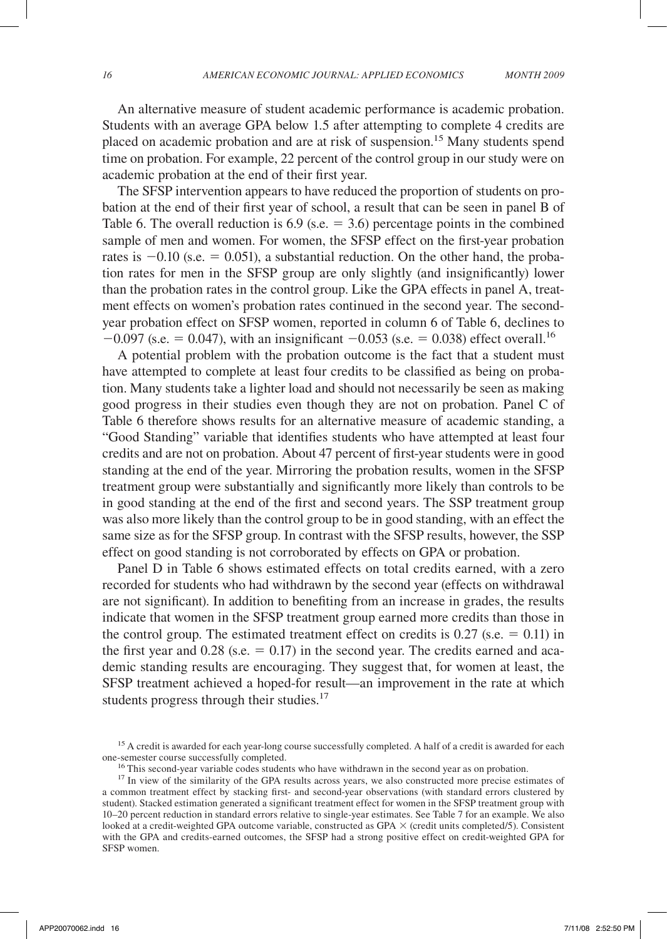An alternative measure of student academic performance is academic probation. Students with an average GPA below 1.5 after attempting to complete 4 credits are placed on academic probation and are at risk of suspension.<sup>15</sup> Many students spend time on probation. For example, 22 percent of the control group in our study were on academic probation at the end of their first year.

The SFSP intervention appears to have reduced the proportion of students on probation at the end of their first year of school, a result that can be seen in panel B of Table 6. The overall reduction is  $6.9$  (s.e.  $= 3.6$ ) percentage points in the combined sample of men and women. For women, the SFSP effect on the first-year probation rates is  $-0.10$  (s.e. = 0.051), a substantial reduction. On the other hand, the probation rates for men in the SFSP group are only slightly (and insignificantly) lower than the probation rates in the control group. Like the GPA effects in panel A, treatment effects on women's probation rates continued in the second year. The secondyear probation effect on SFSP women, reported in column 6 of Table 6, declines to  $-0.097$  (s.e. = 0.047), with an insignificant  $-0.053$  (s.e. = 0.038) effect overall.<sup>16</sup>

A potential problem with the probation outcome is the fact that a student must have attempted to complete at least four credits to be classified as being on probation. Many students take a lighter load and should not necessarily be seen as making good progress in their studies even though they are not on probation. Panel C of Table 6 therefore shows results for an alternative measure of academic standing, a "Good Standing" variable that identifies students who have attempted at least four credits and are not on probation. About 47 percent of first-year students were in good standing at the end of the year. Mirroring the probation results, women in the SFSP treatment group were substantially and significantly more likely than controls to be in good standing at the end of the first and second years. The SSP treatment group was also more likely than the control group to be in good standing, with an effect the same size as for the SFSP group. In contrast with the SFSP results, however, the SSP effect on good standing is not corroborated by effects on GPA or probation.

Panel D in Table 6 shows estimated effects on total credits earned, with a zero recorded for students who had withdrawn by the second year (effects on withdrawal are not significant). In addition to benefiting from an increase in grades, the results indicate that women in the SFSP treatment group earned more credits than those in the control group. The estimated treatment effect on credits is  $0.27$  (s.e.  $= 0.11$ ) in the first year and  $0.28$  (s.e.  $= 0.17$ ) in the second year. The credits earned and academic standing results are encouraging. They suggest that, for women at least, the SFSP treatment achieved a hoped-for result—an improvement in the rate at which students progress through their studies.<sup>17</sup>

<sup>&</sup>lt;sup>15</sup> A credit is awarded for each year-long course successfully completed. A half of a credit is awarded for each one-semester course successfully completed.

<sup>&</sup>lt;sup>16</sup> This second-year variable codes students who have withdrawn in the second year as on probation.<br><sup>17</sup> In view of the similarity of the GPA results across years, we also constructed more precise estimates of a common treatment effect by stacking first- and second-year observations (with standard errors clustered by student). Stacked estimation generated a significant treatment effect for women in the SFSP treatment group with 10–20 percent reduction in standard errors relative to single-year estimates. See Table 7 for an example. We also looked at a credit-weighted GPA outcome variable, constructed as GPA  $\times$  (credit units completed/5). Consistent with the GPA and credits-earned outcomes, the SFSP had a strong positive effect on credit-weighted GPA for SFSP women.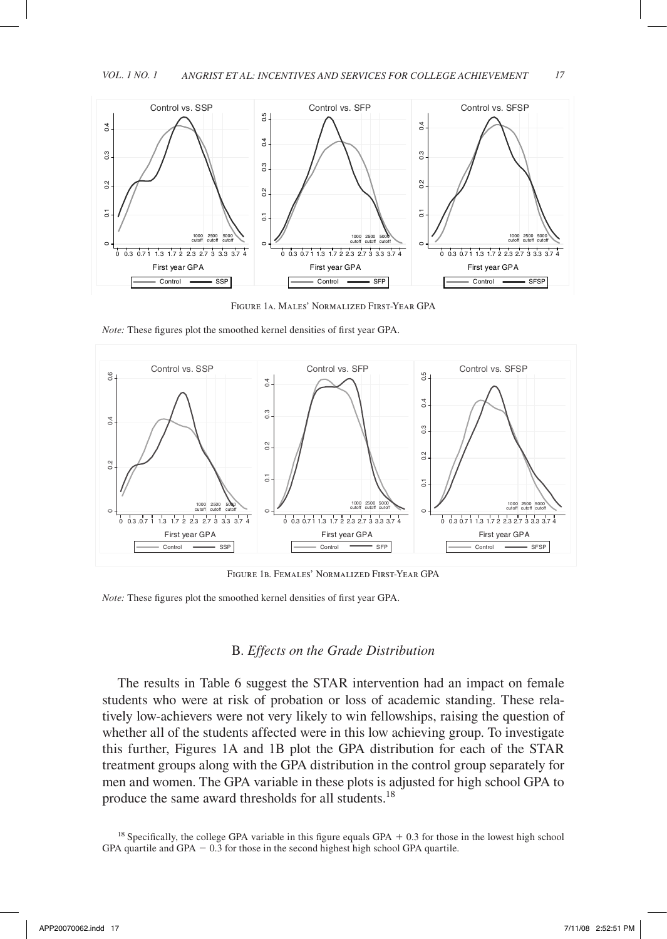

Figure 1a. Males' Normalized First-Year GPA

*Note:* These figures plot the smoothed kernel densities of first year GPA.



Figure 1b. Females' Normalized First-Year GPA

*Note:* These figures plot the smoothed kernel densities of first year GPA.

#### B. *Effects on the Grade Distribution*

The results in Table 6 suggest the STAR intervention had an impact on female students who were at risk of probation or loss of academic standing. These relatively low-achievers were not very likely to win fellowships, raising the question of whether all of the students affected were in this low achieving group. To investigate this further, Figures 1A and 1B plot the GPA distribution for each of the STAR treatment groups along with the GPA distribution in the control group separately for men and women. The GPA variable in these plots is adjusted for high school GPA to produce the same award thresholds for all students.<sup>18</sup>

<sup>&</sup>lt;sup>18</sup> Specifically, the college GPA variable in this figure equals GPA  $+ 0.3$  for those in the lowest high school GPA quartile and GPA  $-0.3$  for those in the second highest high school GPA quartile.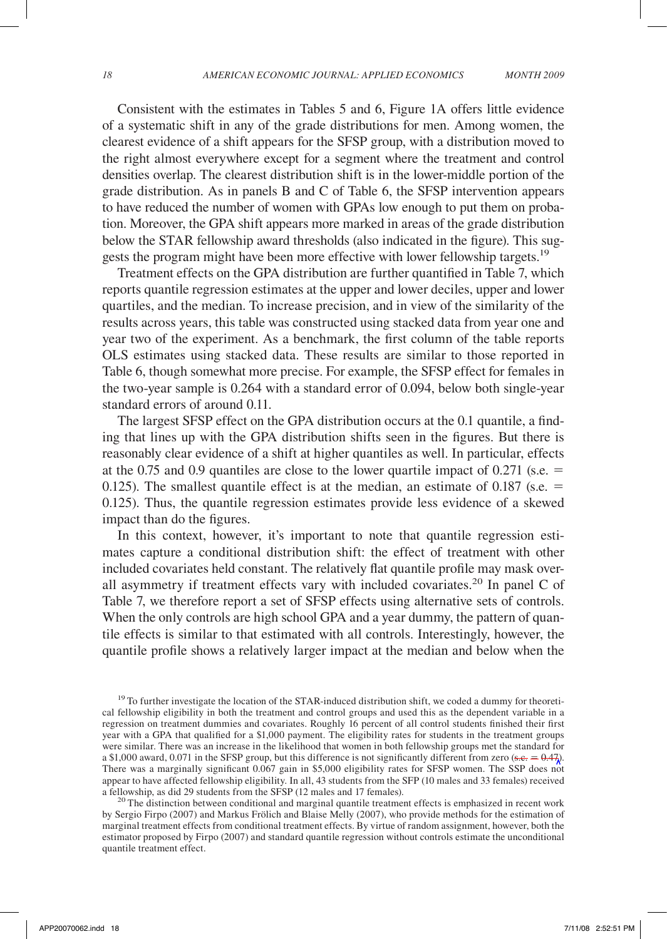Consistent with the estimates in Tables 5 and 6, Figure 1A offers little evidence of a systematic shift in any of the grade distributions for men. Among women, the clearest evidence of a shift appears for the SFSP group, with a distribution moved to the right almost everywhere except for a segment where the treatment and control densities overlap. The clearest distribution shift is in the lower-middle portion of the grade distribution. As in panels B and C of Table 6, the SFSP intervention appears to have reduced the number of women with GPAs low enough to put them on probation. Moreover, the GPA shift appears more marked in areas of the grade distribution below the STAR fellowship award thresholds (also indicated in the figure). This suggests the program might have been more effective with lower fellowship targets.<sup>19</sup>

Treatment effects on the GPA distribution are further quantified in Table 7, which reports quantile regression estimates at the upper and lower deciles, upper and lower quartiles, and the median. To increase precision, and in view of the similarity of the results across years, this table was constructed using stacked data from year one and year two of the experiment. As a benchmark, the first column of the table reports OLS estimates using stacked data. These results are similar to those reported in Table 6, though somewhat more precise. For example, the SFSP effect for females in the two-year sample is 0.264 with a standard error of 0.094, below both single-year standard errors of around 0.11.

The largest SFSP effect on the GPA distribution occurs at the 0.1 quantile, a finding that lines up with the GPA distribution shifts seen in the figures. But there is reasonably clear evidence of a shift at higher quantiles as well. In particular, effects at the 0.75 and 0.9 quantiles are close to the lower quartile impact of  $0.271$  (s.e.  $=$ 0.125). The smallest quantile effect is at the median, an estimate of 0.187 (s.e.  $=$ 0.125). Thus, the quantile regression estimates provide less evidence of a skewed impact than do the figures.

In this context, however, it's important to note that quantile regression estimates capture a conditional distribution shift: the effect of treatment with other included covariates held constant. The relatively flat quantile profile may mask overall asymmetry if treatment effects vary with included covariates.<sup>20</sup> In panel C of Table 7, we therefore report a set of SFSP effects using alternative sets of controls. When the only controls are high school GPA and a year dummy, the pattern of quantile effects is similar to that estimated with all controls. Interestingly, however, the quantile profile shows a relatively larger impact at the median and below when the

<sup>&</sup>lt;sup>19</sup> To further investigate the location of the STAR-induced distribution shift, we coded a dummy for theoretical fellowship eligibility in both the treatment and control groups and used this as the dependent variable in a regression on treatment dummies and covariates. Roughly 16 percent of all control students finished their first year with a GPA that qualified for a \$1,000 payment. The eligibility rates for students in the treatment groups were similar. There was an increase in the likelihood that women in both fellowship groups met the standard for a \$1,000 award, 0.071 in the SFSP group, but this difference is not significantly different from zero (s.e.  $= 0.47$ ). There was a marginally significant 0.067 gain in \$5,000 eligibility rates for SFSP women. The SSP does not appear to have affected fellowship eligibility. In all, 43 students from the SFP (10 males and 33 females) received a fellowship, as did 29 students from the SFSP (12 males and 17 females).

<sup>&</sup>lt;sup>20</sup> The distinction between conditional and marginal quantile treatment effects is emphasized in recent work by Sergio Firpo (2007) and Markus Frölich and Blaise Melly (2007), who provide methods for the estimation of marginal treatment effects from conditional treatment effects. By virtue of random assignment, however, both the estimator proposed by Firpo (2007) and standard quantile regression without controls estimate the unconditional quantile treatment effect.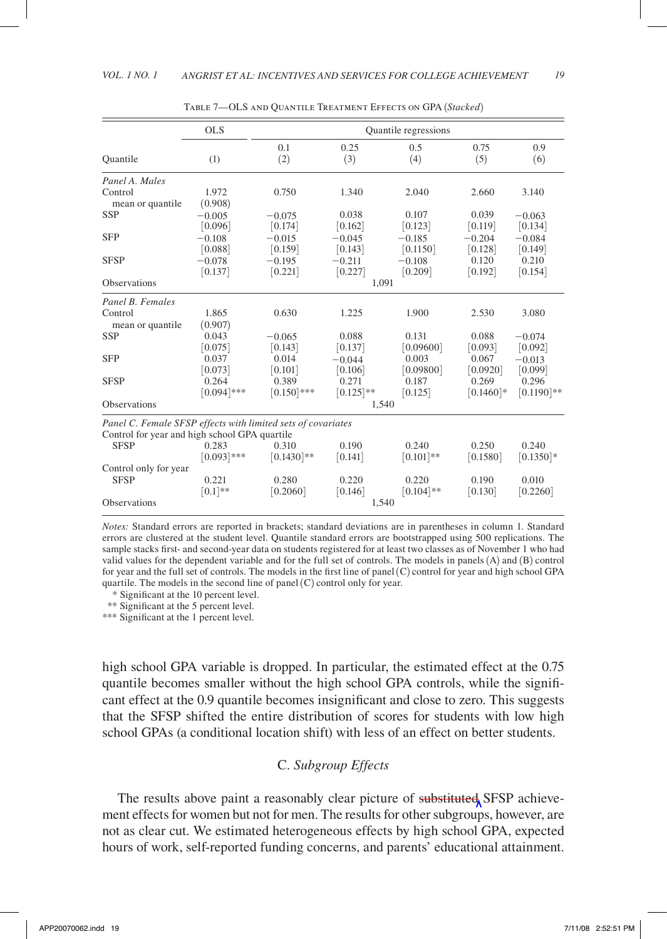|                                                              | <b>OLS</b>            | Quantile regressions  |                       |              |                       |               |  |  |
|--------------------------------------------------------------|-----------------------|-----------------------|-----------------------|--------------|-----------------------|---------------|--|--|
|                                                              |                       | 0.1                   | 0.25                  | 0.5          | 0.75                  | 0.9           |  |  |
| Quantile                                                     | (1)                   | (2)                   | (3)                   | (4)          | (5)                   | (6)           |  |  |
| Panel A. Males                                               |                       |                       |                       |              |                       |               |  |  |
| Control                                                      | 1.972                 | 0.750                 | 1.340                 | 2.040        | 2.660                 | 3.140         |  |  |
| mean or quantile                                             | (0.908)               |                       |                       |              |                       |               |  |  |
| <b>SSP</b>                                                   | $-0.005$              | $-0.075$              | 0.038                 | 0.107        | 0.039                 | $-0.063$      |  |  |
|                                                              | [0.096]               | [0.174]               | $[0.162]$             | [0.123]      | $\lceil 0.119 \rceil$ | [0.134]       |  |  |
| <b>SFP</b>                                                   | $-0.108$              | $-0.015$              | $-0.045$              | $-0.185$     | $-0.204$              | $-0.084$      |  |  |
|                                                              | [0.088]               | $[0.159]$             | $\lceil 0.143 \rceil$ | [0.1150]     | [0.128]               | [0.149]       |  |  |
| <b>SFSP</b>                                                  | $-0.078$              | $-0.195$              | $-0.211$              | $-0.108$     | 0.120                 | 0.210         |  |  |
|                                                              | $\lceil 0.137 \rceil$ | $[0.221]$             | $[0.227]$             | $[0.209]$    | $[0.192]$             | [0.154]       |  |  |
| <b>Observations</b>                                          |                       | 1,091                 |                       |              |                       |               |  |  |
| Panel B. Females                                             |                       |                       |                       |              |                       |               |  |  |
| Control                                                      | 1.865                 | 0.630                 | 1.225                 | 1.900        | 2.530                 | 3.080         |  |  |
| mean or quantile                                             | (0.907)               |                       |                       |              |                       |               |  |  |
| <b>SSP</b>                                                   | 0.043                 | $-0.065$              | 0.088                 | 0.131        | 0.088                 | $-0.074$      |  |  |
|                                                              | $\lceil 0.075 \rceil$ | [0.143]               | $\lceil 0.137 \rceil$ | [0.09600]    | [0.093]               | $[0.092]$     |  |  |
| <b>SFP</b>                                                   | 0.037                 | 0.014                 | $-0.044$              | 0.003        | 0.067                 | $-0.013$      |  |  |
|                                                              | [0.073]               | $\lceil 0.101 \rceil$ | [0.106]               | [0.09800]    | [0.0920]              | [0.099]       |  |  |
| <b>SFSP</b>                                                  | 0.264                 | 0.389                 | 0.271                 | 0.187        | 0.269                 | 0.296         |  |  |
|                                                              | $[0.094]$ ***         | $[0.150]$ ***         | $[0.125]$ **          | $[0.125]$    | $[0.1460]$ *          | $[0.1190]$ ** |  |  |
| <b>Observations</b>                                          |                       | 1,540                 |                       |              |                       |               |  |  |
| Panel C. Female SFSP effects with limited sets of covariates |                       |                       |                       |              |                       |               |  |  |
| Control for year and high school GPA quartile                |                       |                       |                       |              |                       |               |  |  |
| <b>SFSP</b>                                                  | 0.283                 | 0.310                 | 0.190                 | 0.240        | 0.250                 | 0.240         |  |  |
|                                                              | $[0.093]$ ***         | $[0.1430]$ **         | $\lceil 0.141 \rceil$ | $[0.101]$ ** | [0.1580]              | $[0.1350]$ *  |  |  |
| Control only for year                                        |                       |                       |                       |              |                       |               |  |  |
| <b>SFSP</b>                                                  | 0.221                 | 0.280                 | 0.220                 | 0.220        | 0.190                 | 0.010         |  |  |
|                                                              | $[0.1]$ **            | [0.2060]              | $\lceil 0.146 \rceil$ | $[0.104]$ ** | [0.130]               | [0.2260]      |  |  |
| <b>Observations</b>                                          |                       |                       | 1.540                 |              |                       |               |  |  |

TABLE 7-OLS AND QUANTILE TREATMENT EFFECTS ON GPA (Stacked)

*Notes:* Standard errors are reported in brackets; standard deviations are in parentheses in column 1. Standard errors are clustered at the student level. Quantile standard errors are bootstrapped using 500 replications. The sample stacks first- and second-year data on students registered for at least two classes as of November 1 who had valid values for the dependent variable and for the full set of controls. The models in panels  $(A)$  and  $(B)$  control for year and the full set of controls. The models in the first line of panel  $(C)$  control for year and high school GPA quartile. The models in the second line of panel  $(C)$  control only for year.

\* Significant at the 10 percent level.

\*\* Significant at the 5 percent level.

\*\*\* Significant at the 1 percent level.

high school GPA variable is dropped. In particular, the estimated effect at the 0.75 quantile becomes smaller without the high school GPA controls, while the significant effect at the 0.9 quantile becomes insignificant and close to zero. This suggests that the SFSP shifted the entire distribution of scores for students with low high school GPAs (a conditional location shift) with less of an effect on better students.

# C. *Subgroup Effects*

The results above paint a reasonably clear picture of substituted SFSP achievement effects for women but not for men. The results for other subgroups, however, are not as clear cut. We estimated heterogeneous effects by high school GPA, expected hours of work, self-reported funding concerns, and parents' educational attainment.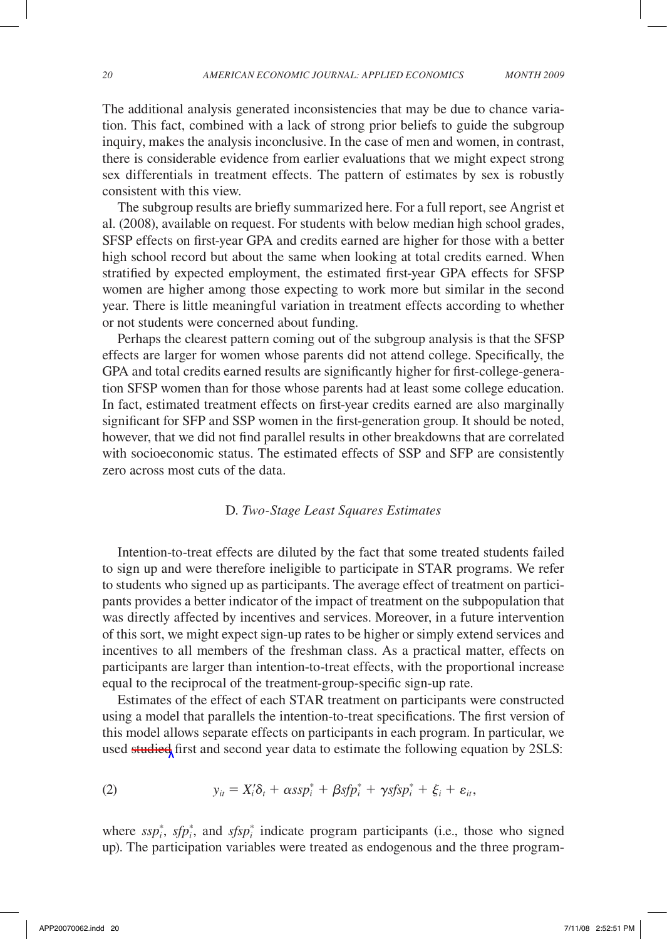The additional analysis generated inconsistencies that may be due to chance variation. This fact, combined with a lack of strong prior beliefs to guide the subgroup inquiry, makes the analysis inconclusive. In the case of men and women, in contrast, there is considerable evidence from earlier evaluations that we might expect strong sex differentials in treatment effects. The pattern of estimates by sex is robustly consistent with this view.

The subgroup results are briefly summarized here. For a full report, see Angrist et al. (2008), available on request. For students with below median high school grades, SFSP effects on first-year GPA and credits earned are higher for those with a better high school record but about the same when looking at total credits earned. When stratified by expected employment, the estimated first-year GPA effects for SFSP women are higher among those expecting to work more but similar in the second year. There is little meaningful variation in treatment effects according to whether or not students were concerned about funding.

Perhaps the clearest pattern coming out of the subgroup analysis is that the SFSP effects are larger for women whose parents did not attend college. Specifically, the GPA and total credits earned results are significantly higher for first-college-generation SFSP women than for those whose parents had at least some college education. In fact, estimated treatment effects on first-year credits earned are also marginally significant for SFP and SSP women in the first-generation group. It should be noted, however, that we did not find parallel results in other breakdowns that are correlated with socioeconomic status. The estimated effects of SSP and SFP are consistently zero across most cuts of the data.

#### D. *Two-Stage Least Squares Estimates*

Intention-to-treat effects are diluted by the fact that some treated students failed to sign up and were therefore ineligible to participate in STAR programs. We refer to students who signed up as participants. The average effect of treatment on participants provides a better indicator of the impact of treatment on the subpopulation that was directly affected by incentives and services. Moreover, in a future intervention of this sort, we might expect sign-up rates to be higher or simply extend services and incentives to all members of the freshman class. As a practical matter, effects on participants are larger than intention-to-treat effects, with the proportional increase equal to the reciprocal of the treatment-group-specific sign-up rate.

Estimates of the effect of each STAR treatment on participants were constructed using a model that parallels the intention-to-treat specifications. The first version of this model allows separate effects on participants in each program. In particular, we used studied first and second year data to estimate the following equation by 2SLS:

(2) 
$$
y_{it} = X_i'\delta_t + \alpha s s p_i^* + \beta s f p_i^* + \gamma s f s p_i^* + \xi_i + \varepsilon_{it},
$$

where  $ssp_i^*$ ,  $sfp_i^*$ , and  $sfsp_i^*$  indicate program participants (i.e., those who signed up). The participation variables were treated as endogenous and the three program-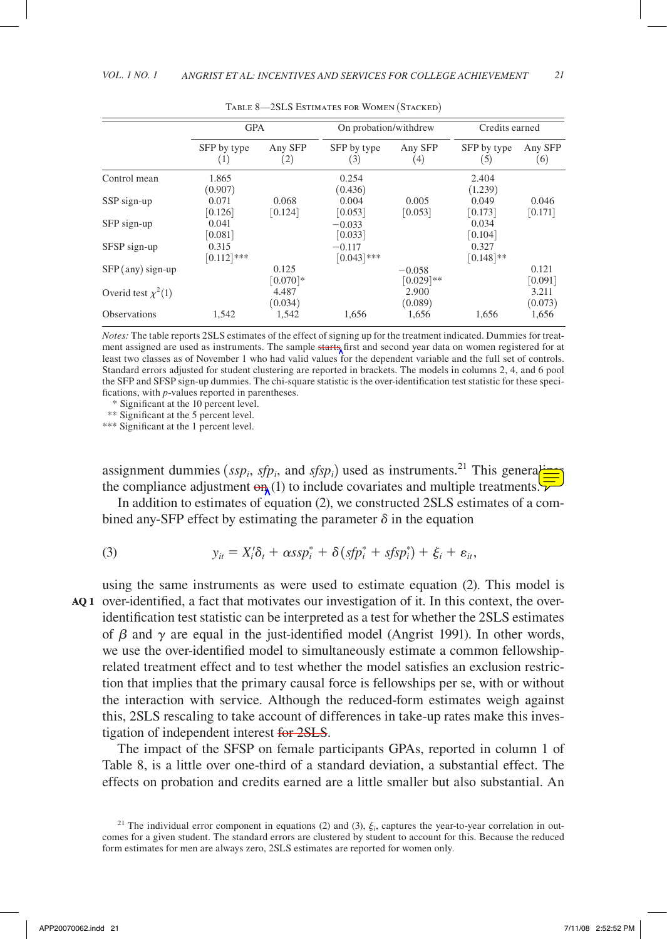|                         | <b>GPA</b>                     |                      |                           | On probation/withdrew          |                                | Credits earned                |  |
|-------------------------|--------------------------------|----------------------|---------------------------|--------------------------------|--------------------------------|-------------------------------|--|
|                         | SFP by type<br>(1)             | Any SFP<br>(2)       | SFP by type<br>(3)        | Any SFP<br>(4)                 | SFP by type<br>(5)             | Any SFP<br>(6)                |  |
| Control mean            | 1.865<br>(0.907)               |                      | 0.254<br>(0.436)          |                                | 2.404<br>(1.239)               |                               |  |
| SSP sign-up             | 0.071<br>$\lceil 0.126 \rceil$ | 0.068<br>$[0.124]$   | 0.004<br>[0.053]          | 0.005<br>$\lceil 0.053 \rceil$ | 0.049<br>$\lceil 0.173 \rceil$ | 0.046<br>[0.171]              |  |
| SFP sign-up             | 0.041<br>[0.081]               |                      | $-0.033$<br>[0.033]       |                                | 0.034<br>$\lceil 0.104 \rceil$ |                               |  |
| SFSP sign-up            | 0.315<br>$[0.112]$ ***         |                      | $-0.117$<br>$[0.043]$ *** |                                | 0.327<br>$[0.148]$ **          |                               |  |
| $SFP$ (any) sign-up     |                                | 0.125<br>$[0.070]$ * |                           | $-0.058$<br>$[0.029]$ **       |                                | 0.121<br>$\left[0.091\right]$ |  |
| Overid test $\chi^2(1)$ |                                | 4.487<br>(0.034)     |                           | 2.900<br>(0.089)               |                                | 3.211<br>(0.073)              |  |
| <b>Observations</b>     | 1,542                          | 1,542                | 1,656                     | 1,656                          | 1,656                          | 1,656                         |  |

TABLE 8-2SLS ESTIMATES FOR WOMEN (STACKED)

*Notes:* The table reports 2SLS estimates of the effect of signing up for the treatment indicated. Dummies for treatment assigned are used as instruments. The sample starts first and second year data on women registered for at least two classes as of November 1 who had valid values for the dependent variable and the full set of controls. Standard errors adjusted for student clustering are reported in brackets. The models in columns 2, 4, and 6 pool the SFP and SFSP sign-up dummies. The chi-square statistic is the over-identification test statistic for these specifications, with *p*-values reported in parentheses.

\* Significant at the 10 percent level.

\*\* Significant at the 5 percent level.

\*\*\* Significant at the 1 percent level.

assignment dummies  $(ssp_i, sfp_i,$  and  $sfsp_i)$  used as instruments.<sup>21</sup> This generalized the compliance adjustment  $\Theta_{\text{A}}(1)$  to include covariates and multiple treatments.

In addition to estimates of equation (2), we constructed 2SLS estimates of a combined any-SFP effect by estimating the parameter  $\delta$  in the equation

(3) 
$$
y_{it} = X_i'\delta_t + \alpha s s p_i^* + \delta (s f p_i^* + s f s p_i^*) + \xi_i + \varepsilon_{it},
$$

using the same instruments as were used to estimate equation (2). This model is AQ 1 over-identified, a fact that motivates our investigation of it. In this context, the overidentification test statistic can be interpreted as a test for whether the 2SLS estimates of  $\beta$  and  $\gamma$  are equal in the just-identified model (Angrist 1991). In other words, we use the over-identified model to simultaneously estimate a common fellowshiprelated treatment effect and to test whether the model satisfies an exclusion restriction that implies that the primary causal force is fellowships per se, with or without the interaction with service. Although the reduced-form estimates weigh against this, 2SLS rescaling to take account of differences in take-up rates make this investigation of independent interest for 2SLS.

The impact of the SFSP on female participants GPAs, reported in column 1 of Table 8, is a little over one-third of a standard deviation, a substantial effect. The effects on probation and credits earned are a little smaller but also substantial. An

<sup>&</sup>lt;sup>21</sup> The individual error component in equations (2) and (3),  $\xi_i$ , captures the year-to-year correlation in outcomes for a given student. The standard errors are clustered by student to account for this. Because the reduced form estimates for men are always zero, 2SLS estimates are reported for women only.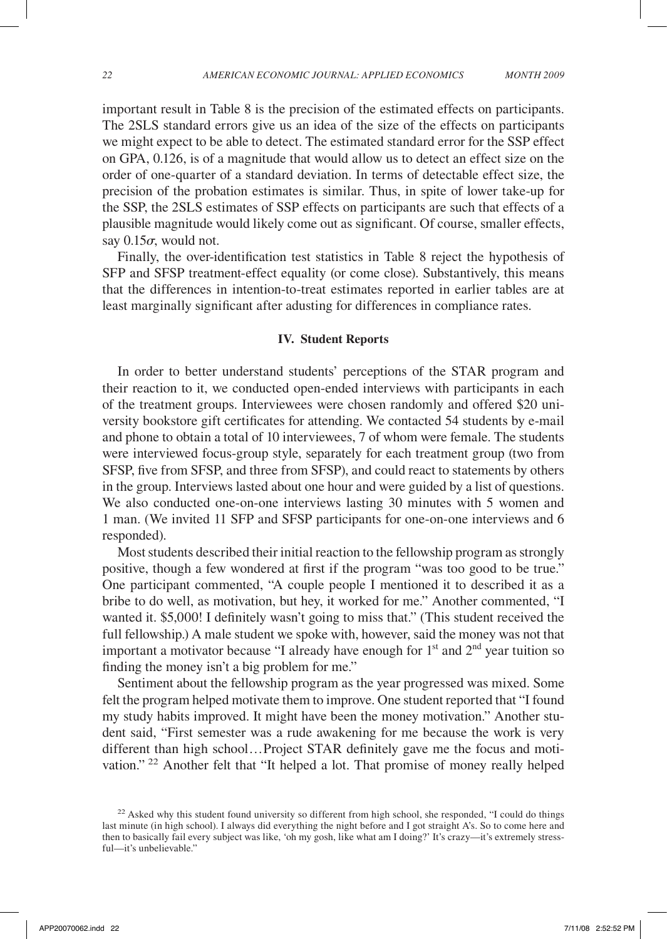important result in Table 8 is the precision of the estimated effects on participants. The 2SLS standard errors give us an idea of the size of the effects on participants we might expect to be able to detect. The estimated standard error for the SSP effect on GPA, 0.126, is of a magnitude that would allow us to detect an effect size on the order of one-quarter of a standard deviation. In terms of detectable effect size, the precision of the probation estimates is similar. Thus, in spite of lower take-up for the SSP, the 2SLS estimates of SSP effects on participants are such that effects of a plausible magnitude would likely come out as significant. Of course, smaller effects, say  $0.15\sigma$ , would not.

Finally, the over-identification test statistics in Table 8 reject the hypothesis of SFP and SFSP treatment-effect equality (or come close). Substantively, this means that the differences in intention-to-treat estimates reported in earlier tables are at least marginally significant after adusting for differences in compliance rates.

#### **IV. Student Reports**

In order to better understand students' perceptions of the STAR program and their reaction to it, we conducted open-ended interviews with participants in each of the treatment groups. Interviewees were chosen randomly and offered \$20 university bookstore gift certificates for attending. We contacted 54 students by e-mail and phone to obtain a total of 10 interviewees, 7 of whom were female. The students were interviewed focus-group style, separately for each treatment group (two from SFSP, five from SFSP, and three from SFSP), and could react to statements by others in the group. Interviews lasted about one hour and were guided by a list of questions. We also conducted one-on-one interviews lasting 30 minutes with 5 women and 1 man. (We invited 11 SFP and SFSP participants for one-on-one interviews and 6 responded).

Most students described their initial reaction to the fellowship program as strongly positive, though a few wondered at first if the program "was too good to be true." One participant commented, "A couple people I mentioned it to described it as a bribe to do well, as motivation, but hey, it worked for me." Another commented, "I wanted it. \$5,000! I definitely wasn't going to miss that." (This student received the full fellowship.) A male student we spoke with, however, said the money was not that important a motivator because "I already have enough for 1<sup>st</sup> and 2<sup>nd</sup> year tuition so finding the money isn't a big problem for me."

Sentiment about the fellowship program as the year progressed was mixed. Some felt the program helped motivate them to improve. One student reported that "I found my study habits improved. It might have been the money motivation." Another student said, "First semester was a rude awakening for me because the work is very different than high school…Project STAR definitely gave me the focus and motivation." 22 Another felt that "It helped a lot. That promise of money really helped

 $22$  Asked why this student found university so different from high school, she responded, "I could do things last minute (in high school). I always did everything the night before and I got straight A's. So to come here and then to basically fail every subject was like, 'oh my gosh, like what am I doing?' It's crazy—it's extremely stressful—it's unbelievable."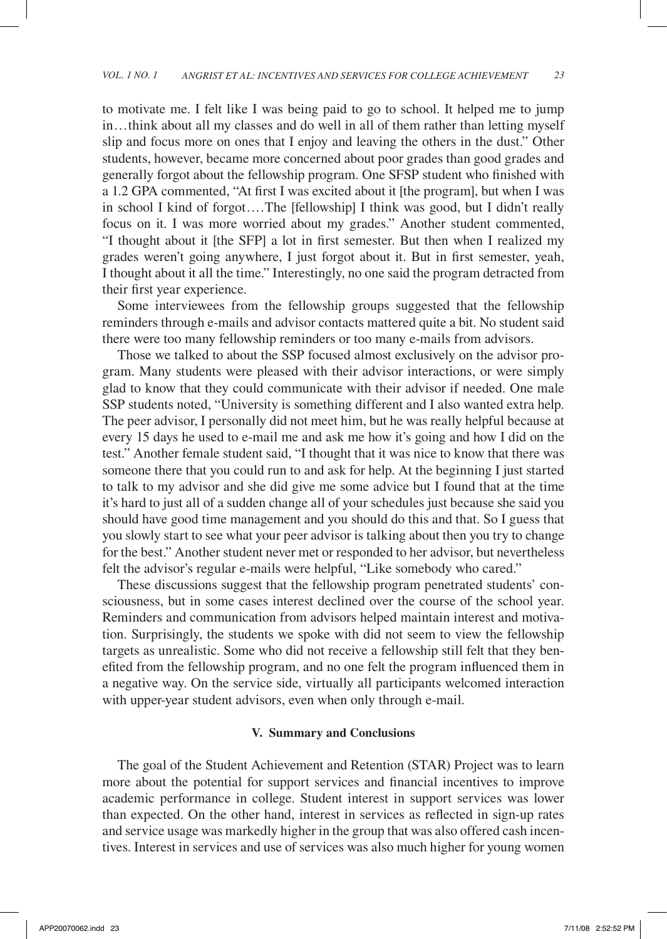to motivate me. I felt like I was being paid to go to school. It helped me to jump in…think about all my classes and do well in all of them rather than letting myself slip and focus more on ones that I enjoy and leaving the others in the dust." Other students, however, became more concerned about poor grades than good grades and generally forgot about the fellowship program. One SFSP student who finished with a 1.2 GPA commented, "At first I was excited about it [the program], but when I was in school I kind of forgot….The [fellowship] I think was good, but I didn't really focus on it. I was more worried about my grades." Another student commented, "I thought about it [the SFP] a lot in first semester. But then when I realized my grades weren't going anywhere, I just forgot about it. But in first semester, yeah, I thought about it all the time." Interestingly, no one said the program detracted from their first year experience.

Some interviewees from the fellowship groups suggested that the fellowship reminders through e-mails and advisor contacts mattered quite a bit. No student said there were too many fellowship reminders or too many e-mails from advisors.

Those we talked to about the SSP focused almost exclusively on the advisor program. Many students were pleased with their advisor interactions, or were simply glad to know that they could communicate with their advisor if needed. One male SSP students noted, "University is something different and I also wanted extra help. The peer advisor, I personally did not meet him, but he was really helpful because at every 15 days he used to e-mail me and ask me how it's going and how I did on the test." Another female student said, "I thought that it was nice to know that there was someone there that you could run to and ask for help. At the beginning I just started to talk to my advisor and she did give me some advice but I found that at the time it's hard to just all of a sudden change all of your schedules just because she said you should have good time management and you should do this and that. So I guess that you slowly start to see what your peer advisor is talking about then you try to change for the best." Another student never met or responded to her advisor, but nevertheless felt the advisor's regular e-mails were helpful, "Like somebody who cared."

These discussions suggest that the fellowship program penetrated students' consciousness, but in some cases interest declined over the course of the school year. Reminders and communication from advisors helped maintain interest and motivation. Surprisingly, the students we spoke with did not seem to view the fellowship targets as unrealistic. Some who did not receive a fellowship still felt that they benefited from the fellowship program, and no one felt the program influenced them in a negative way. On the service side, virtually all participants welcomed interaction with upper-year student advisors, even when only through e-mail.

### **V. Summary and Conclusions**

The goal of the Student Achievement and Retention (STAR) Project was to learn more about the potential for support services and financial incentives to improve academic performance in college. Student interest in support services was lower than expected. On the other hand, interest in services as reflected in sign-up rates and service usage was markedly higher in the group that was also offered cash incentives. Interest in services and use of services was also much higher for young women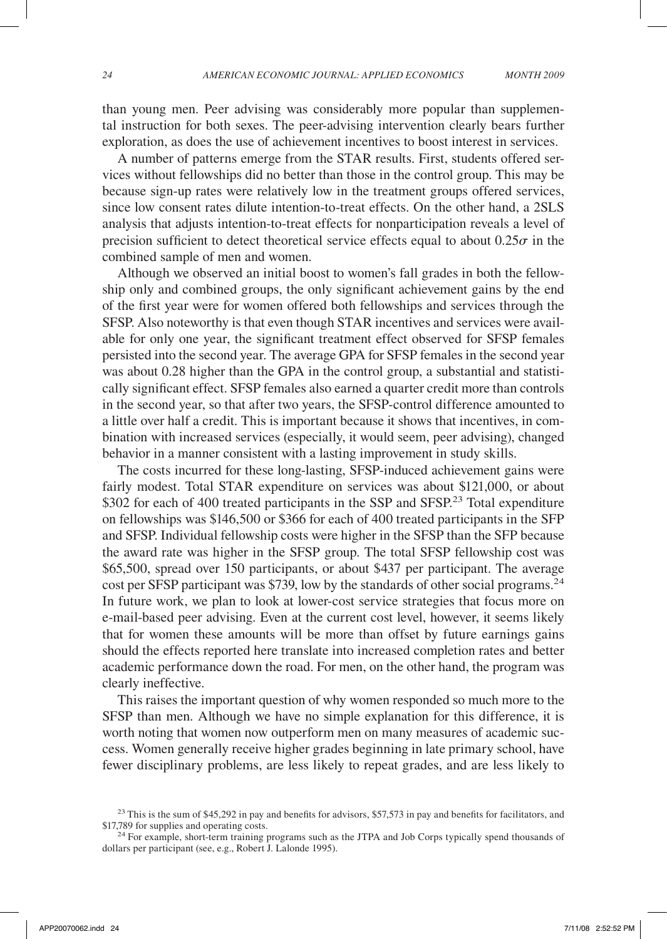than young men. Peer advising was considerably more popular than supplemental instruction for both sexes. The peer-advising intervention clearly bears further exploration, as does the use of achievement incentives to boost interest in services.

A number of patterns emerge from the STAR results. First, students offered services without fellowships did no better than those in the control group. This may be because sign-up rates were relatively low in the treatment groups offered services, since low consent rates dilute intention-to-treat effects. On the other hand, a 2SLS analysis that adjusts intention-to-treat effects for nonparticipation reveals a level of precision sufficient to detect theoretical service effects equal to about  $0.25\sigma$  in the combined sample of men and women.

Although we observed an initial boost to women's fall grades in both the fellowship only and combined groups, the only significant achievement gains by the end of the first year were for women offered both fellowships and services through the SFSP. Also noteworthy is that even though STAR incentives and services were available for only one year, the significant treatment effect observed for SFSP females persisted into the second year. The average GPA for SFSP females in the second year was about 0.28 higher than the GPA in the control group, a substantial and statistically significant effect. SFSP females also earned a quarter credit more than controls in the second year, so that after two years, the SFSP-control difference amounted to a little over half a credit. This is important because it shows that incentives, in combination with increased services (especially, it would seem, peer advising), changed behavior in a manner consistent with a lasting improvement in study skills.

The costs incurred for these long-lasting, SFSP-induced achievement gains were fairly modest. Total STAR expenditure on services was about \$121,000, or about \$302 for each of 400 treated participants in the SSP and SFSP.<sup>23</sup> Total expenditure on fellowships was \$146,500 or \$366 for each of 400 treated participants in the SFP and SFSP. Individual fellowship costs were higher in the SFSP than the SFP because the award rate was higher in the SFSP group. The total SFSP fellowship cost was \$65,500, spread over 150 participants, or about \$437 per participant. The average cost per SFSP participant was \$739, low by the standards of other social programs.<sup>24</sup> In future work, we plan to look at lower-cost service strategies that focus more on e-mail-based peer advising. Even at the current cost level, however, it seems likely that for women these amounts will be more than offset by future earnings gains should the effects reported here translate into increased completion rates and better academic performance down the road. For men, on the other hand, the program was clearly ineffective.

This raises the important question of why women responded so much more to the SFSP than men. Although we have no simple explanation for this difference, it is worth noting that women now outperform men on many measures of academic success. Women generally receive higher grades beginning in late primary school, have fewer disciplinary problems, are less likely to repeat grades, and are less likely to

 $^{23}$  This is the sum of \$45,292 in pay and benefits for advisors, \$57,573 in pay and benefits for facilitators, and \$17,789 for supplies and operating costs.<br><sup>24</sup> For example, short-term training programs such as the JTPA and Job Corps typically spend thousands of

dollars per participant (see, e.g., Robert J. Lalonde 1995).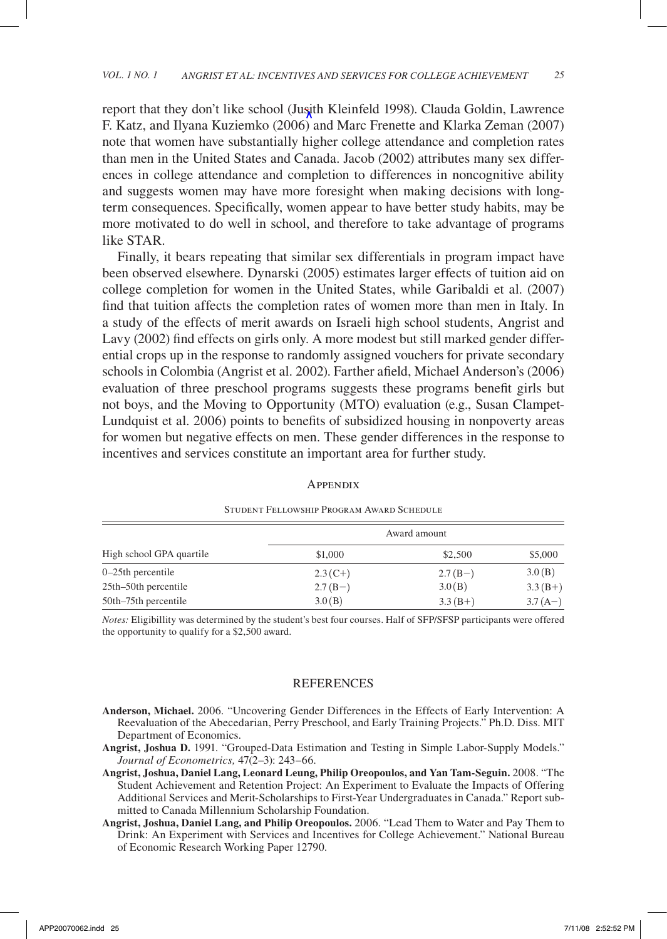report that they don't like school (Jusith Kleinfeld 1998). Clauda Goldin, Lawrence F. Katz, and Ilyana Kuziemko (2006) and Marc Frenette and Klarka Zeman (2007) note that women have substantially higher college attendance and completion rates than men in the United States and Canada. Jacob (2002) attributes many sex differences in college attendance and completion to differences in noncognitive ability and suggests women may have more foresight when making decisions with longterm consequences. Specifically, women appear to have better study habits, may be more motivated to do well in school, and therefore to take advantage of programs like STAR.

Finally, it bears repeating that similar sex differentials in program impact have been observed elsewhere. Dynarski (2005) estimates larger effects of tuition aid on college completion for women in the United States, while Garibaldi et al. (2007) find that tuition affects the completion rates of women more than men in Italy. In a study of the effects of merit awards on Israeli high school students, Angrist and Lavy (2002) find effects on girls only. A more modest but still marked gender differential crops up in the response to randomly assigned vouchers for private secondary schools in Colombia (Angrist et al. 2002). Farther afield, Michael Anderson's (2006) evaluation of three preschool programs suggests these programs benefit girls but not boys, and the Moving to Opportunity (MTO) evaluation (e.g., Susan Clampet-Lundquist et al. 2006) points to benefits of subsidized housing in nonpoverty areas for women but negative effects on men. These gender differences in the response to incentives and services constitute an important area for further study.

|                          | Award amount |           |           |
|--------------------------|--------------|-----------|-----------|
| High school GPA quartile | \$1,000      | \$2,500   | \$5,000   |
| $0-25$ th percentile     | $2.3(C+)$    | $2.7(B-)$ | 3.0(B)    |
| 25th–50th percentile     | $2.7(B-)$    | 3.0(B)    | $3.3(B+)$ |
| 50th–75th percentile     | 3.0(B)       | $3.3(B+)$ | $3.7(A-)$ |

# **APPENDIX** Student Fellowship Program Award Schedule

*Notes:* Eligibillity was determined by the student's best four courses. Half of SFP/SFSP participants were offered the opportunity to qualify for a \$2,500 award.

#### **REFERENCES**

- **Anderson, Michael.** 2006. "Uncovering Gender Differences in the Effects of Early Intervention: A Reevaluation of the Abecedarian, Perry Preschool, and Early Training Projects." Ph.D. Diss. MIT Department of Economics.
- **Angrist, Joshua D.** 1991. "Grouped-Data Estimation and Testing in Simple Labor-Supply Models." *Journal of Econometrics,* 47(2–3): 243–66.

**Angrist, Joshua, Daniel Lang, Leonard Leung, Philip Oreopoulos, and Yan Tam-Seguin.** 2008. "The Student Achievement and Retention Project: An Experiment to Evaluate the Impacts of Offering Additional Services and Merit-Scholarships to First-Year Undergraduates in Canada." Report submitted to Canada Millennium Scholarship Foundation.

**Angrist, Joshua, Daniel Lang, and Philip Oreopoulos.** 2006. "Lead Them to Water and Pay Them to Drink: An Experiment with Services and Incentives for College Achievement." National Bureau of Economic Research Working Paper 12790.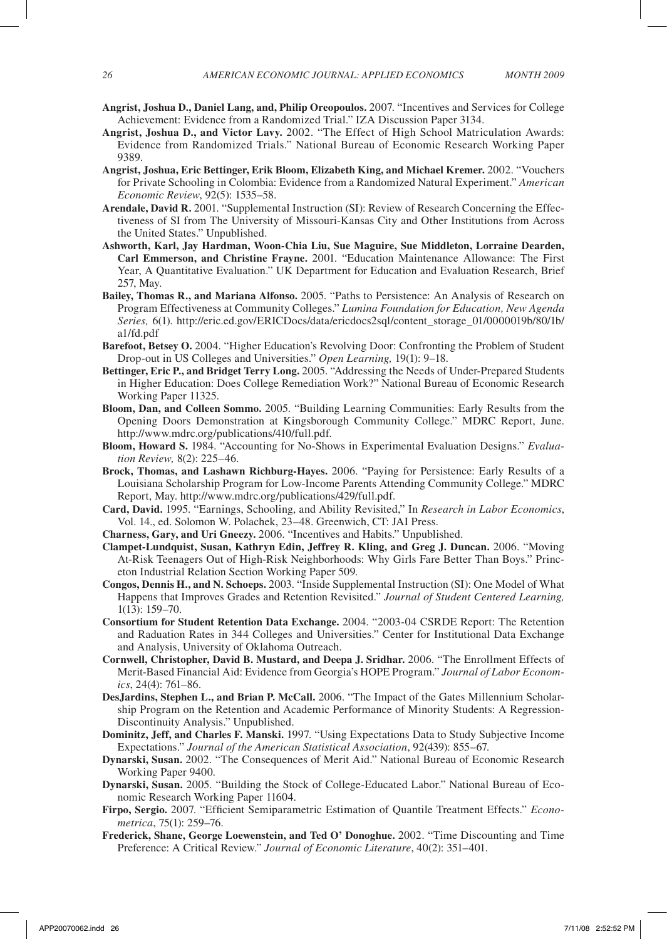- **Angrist, Joshua D., Daniel Lang, and, Philip Oreopoulos.** 2007. "Incentives and Services for College Achievement: Evidence from a Randomized Trial." IZA Discussion Paper 3134.
- **Angrist, Joshua D., and Victor Lavy.** 2002. "The Effect of High School Matriculation Awards: Evidence from Randomized Trials." National Bureau of Economic Research Working Paper 9389.
- **Angrist, Joshua, Eric Bettinger, Erik Bloom, Elizabeth King, and Michael Kremer.** 2002. "Vouchers for Private Schooling in Colombia: Evidence from a Randomized Natural Experiment." *American Economic Review*, 92(5): 1535–58.
- **Arendale, David R.** 2001. "Supplemental Instruction (SI): Review of Research Concerning the Effectiveness of SI from The University of Missouri-Kansas City and Other Institutions from Across the United States." Unpublished.
- **Ashworth, Karl, Jay Hardman, Woon-Chia Liu, Sue Maguire, Sue Middleton, Lorraine Dearden, Carl Emmerson, and Christine Frayne.** 2001. "Education Maintenance Allowance: The First Year, A Quantitative Evaluation." UK Department for Education and Evaluation Research, Brief 257, May.
- **Bailey, Thomas R., and Mariana Alfonso.** 2005. "Paths to Persistence: An Analysis of Research on Program Effectiveness at Community Colleges." *Lumina Foundation for Education, New Agenda Series,* 6(1). http://eric.ed.gov/ERICDocs/data/ericdocs2sql/content\_storage\_01/0000019b/80/1b/ a1/fd.pdf
- **Barefoot, Betsey O.** 2004. "Higher Education's Revolving Door: Confronting the Problem of Student Drop-out in US Colleges and Universities." *Open Learning,* 19(1): 9–18.
- **Bettinger, Eric P., and Bridget Terry Long.** 2005. "Addressing the Needs of Under-Prepared Students in Higher Education: Does College Remediation Work?" National Bureau of Economic Research Working Paper 11325.
- **Bloom, Dan, and Colleen Sommo.** 2005. "Building Learning Communities: Early Results from the Opening Doors Demonstration at Kingsborough Community College." MDRC Report, June. http://www.mdrc.org/publications/410/full.pdf.
- **Bloom, Howard S.** 1984. "Accounting for No-Shows in Experimental Evaluation Designs." *Evaluation Review,* 8(2): 225–46.
- **Brock, Thomas, and Lashawn Richburg-Hayes.** 2006. "Paying for Persistence: Early Results of a Louisiana Scholarship Program for Low-Income Parents Attending Community College." MDRC Report, May. http://www.mdrc.org/publications/429/full.pdf.
- **Card, David.** 1995. "Earnings, Schooling, and Ability Revisited," In *Research in Labor Economics*, Vol. 14., ed. Solomon W. Polachek, 23–48. Greenwich, CT: JAI Press.
- **Charness, Gary, and Uri Gneezy.** 2006. "Incentives and Habits." Unpublished.
- **Clampet-Lundquist, Susan, Kathryn Edin, Jeffrey R. Kling, and Greg J. Duncan.** 2006. "Moving At-Risk Teenagers Out of High-Risk Neighborhoods: Why Girls Fare Better Than Boys." Princeton Industrial Relation Section Working Paper 509.
- **Congos, Dennis H., and N. Schoeps.** 2003. "Inside Supplemental Instruction (SI): One Model of What Happens that Improves Grades and Retention Revisited." *Journal of Student Centered Learning,* 1(13): 159–70.
- **Consortium for Student Retention Data Exchange.** 2004. "2003-04 CSRDE Report: The Retention and Raduation Rates in 344 Colleges and Universities." Center for Institutional Data Exchange and Analysis, University of Oklahoma Outreach.
- **Cornwell, Christopher, David B. Mustard, and Deepa J. Sridhar.** 2006. "The Enrollment Effects of Merit-Based Financial Aid: Evidence from Georgia's HOPE Program." *Journal of Labor Economics*, 24(4): 761–86.
- **DesJardins, Stephen L., and Brian P. McCall.** 2006. "The Impact of the Gates Millennium Scholarship Program on the Retention and Academic Performance of Minority Students: A Regression-Discontinuity Analysis." Unpublished.
- **Dominitz, Jeff, and Charles F. Manski.** 1997. "Using Expectations Data to Study Subjective Income Expectations." *Journal of the American Statistical Association*, 92(439): 855–67.
- **Dynarski, Susan.** 2002. "The Consequences of Merit Aid." National Bureau of Economic Research Working Paper 9400.
- **Dynarski, Susan.** 2005. "Building the Stock of College-Educated Labor." National Bureau of Economic Research Working Paper 11604.
- **Firpo, Sergio.** 2007. "Efficient Semiparametric Estimation of Quantile Treatment Effects." *Econometrica*, 75(1): 259–76.
- **Frederick, Shane, George Loewenstein, and Ted O' Donoghue.** 2002. "Time Discounting and Time Preference: A Critical Review." *Journal of Economic Literature*, 40(2): 351–401.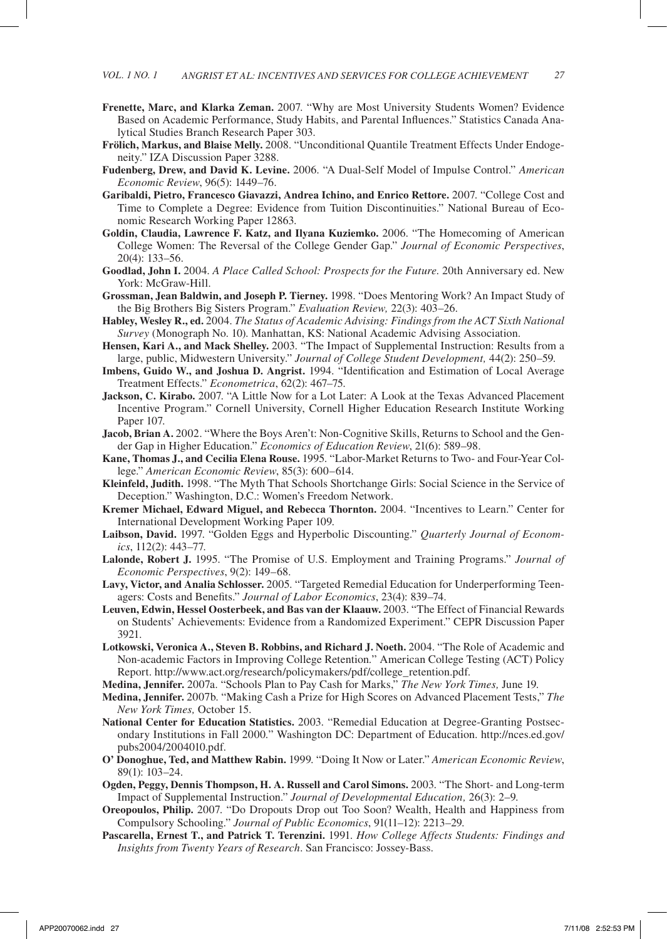- **Frenette, Marc, and Klarka Zeman.** 2007. "Why are Most University Students Women? Evidence Based on Academic Performance, Study Habits, and Parental Influences." Statistics Canada Analytical Studies Branch Research Paper 303.
- **Frölich, Markus, and Blaise Melly.** 2008. "Unconditional Quantile Treatment Effects Under Endogeneity." IZA Discussion Paper 3288.
- **Fudenberg, Drew, and David K. Levine.** 2006. "A Dual-Self Model of Impulse Control." *American Economic Review*, 96(5): 1449–76.
- **Garibaldi, Pietro, Francesco Giavazzi, Andrea Ichino, and Enrico Rettore.** 2007. "College Cost and Time to Complete a Degree: Evidence from Tuition Discontinuities." National Bureau of Economic Research Working Paper 12863.
- **Goldin, Claudia, Lawrence F. Katz, and Ilyana Kuziemko.** 2006. "The Homecoming of American College Women: The Reversal of the College Gender Gap." *Journal of Economic Perspectives*, 20(4): 133–56.
- **Goodlad, John I.** 2004. *A Place Called School: Prospects for the Future*. 20th Anniversary ed. New York: McGraw-Hill.
- **Grossman, Jean Baldwin, and Joseph P. Tierney.** 1998. "Does Mentoring Work? An Impact Study of the Big Brothers Big Sisters Program." *Evaluation Review,* 22(3): 403–26.
- **Habley, Wesley R., ed.** 2004. *The Status of Academic Advising: Findings from the ACT Sixth National Survey* (Monograph No. 10). Manhattan, KS: National Academic Advising Association.
- **Hensen, Kari A., and Mack Shelley.** 2003. "The Impact of Supplemental Instruction: Results from a large, public, Midwestern University." *Journal of College Student Development,* 44(2): 250–59.
- **Imbens, Guido W., and Joshua D. Angrist.** 1994. "Identification and Estimation of Local Average Treatment Effects." *Econometrica*, 62(2): 467–75.
- **Jackson, C. Kirabo.** 2007. "A Little Now for a Lot Later: A Look at the Texas Advanced Placement Incentive Program." Cornell University, Cornell Higher Education Research Institute Working Paper 107.
- **Jacob, Brian A.** 2002. "Where the Boys Aren't: Non-Cognitive Skills, Returns to School and the Gender Gap in Higher Education." *Economics of Education Review*, 21(6): 589–98.
- **Kane, Thomas J., and Cecilia Elena Rouse.** 1995. "Labor-Market Returns to Two- and Four-Year College." *American Economic Review*, 85(3): 600–614.
- **Kleinfeld, Judith.** 1998. "The Myth That Schools Shortchange Girls: Social Science in the Service of Deception." Washington, D.C.: Women's Freedom Network.
- **Kremer Michael, Edward Miguel, and Rebecca Thornton.** 2004. "Incentives to Learn." Center for International Development Working Paper 109.
- **Laibson, David.** 1997. "Golden Eggs and Hyperbolic Discounting." *Quarterly Journal of Economics*, 112(2): 443–77.
- **Lalonde, Robert J.** 1995. "The Promise of U.S. Employment and Training Programs." *Journal of Economic Perspectives*, 9(2): 149–68.
- **Lavy, Victor, and Analia Schlosser.** 2005. "Targeted Remedial Education for Underperforming Teenagers: Costs and Benefits." *Journal of Labor Economics*, 23(4): 839–74.
- **Leuven, Edwin, Hessel Oosterbeek, and Bas van der Klaauw.** 2003. "The Effect of Financial Rewards on Students' Achievements: Evidence from a Randomized Experiment." CEPR Discussion Paper 3921.
- **Lotkowski, Veronica A., Steven B. Robbins, and Richard J. Noeth.** 2004. "The Role of Academic and Non-academic Factors in Improving College Retention*.*" American College Testing (ACT) Policy Report. http://www.act.org/research/policymakers/pdf/college\_retention.pdf.
- **Medina, Jennifer.** 2007a. "Schools Plan to Pay Cash for Marks," *The New York Times,* June 19.
- **Medina, Jennifer.** 2007b. "Making Cash a Prize for High Scores on Advanced Placement Tests," *The New York Times,* October 15.
- **National Center for Education Statistics.** 2003. "Remedial Education at Degree-Granting Postsecondary Institutions in Fall 2000*.*" Washington DC: Department of Education. http://nces.ed.gov/ pubs2004/2004010.pdf.
- **O' Donoghue, Ted, and Matthew Rabin.** 1999. "Doing It Now or Later." *American Economic Review*, 89(1): 103–24.
- **Ogden, Peggy, Dennis Thompson, H. A. Russell and Carol Simons.** 2003. "The Short- and Long-term Impact of Supplemental Instruction." *Journal of Developmental Education,* 26(3): 2–9.
- **Oreopoulos, Philip.** 2007. "Do Dropouts Drop out Too Soon? Wealth, Health and Happiness from Compulsory Schooling." *Journal of Public Economics*, 91(11–12): 2213–29.
- **Pascarella, Ernest T., and Patrick T. Terenzini.** 1991. *How College Affects Students: Findings and Insights from Twenty Years of Research*. San Francisco: Jossey-Bass.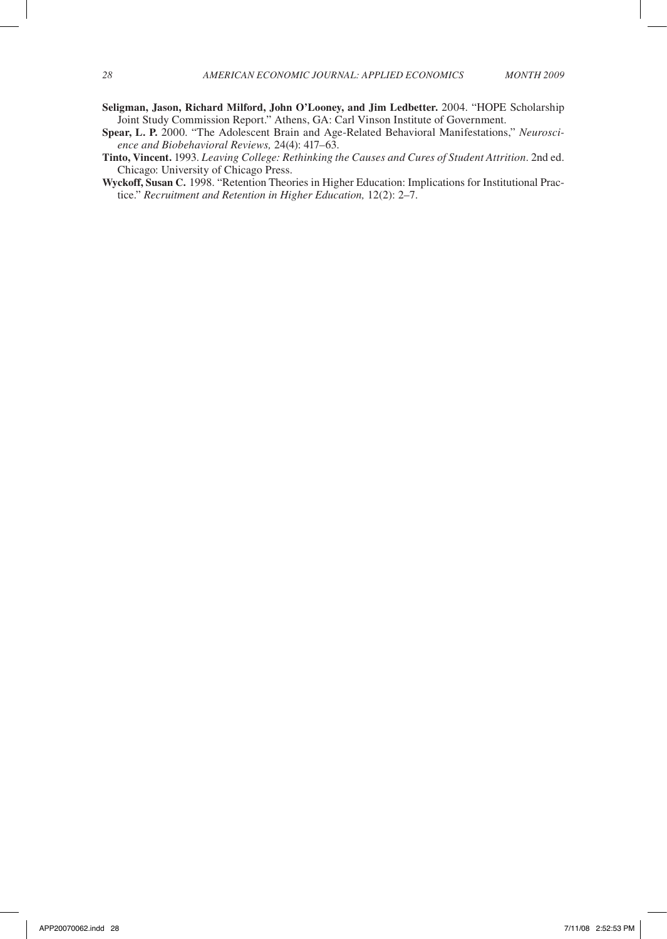- **Seligman, Jason, Richard Milford, John O'Looney, and Jim Ledbetter.** 2004. "HOPE Scholarship Joint Study Commission Report." Athens, GA: Carl Vinson Institute of Government.
- **Spear, L. P.** 2000. "The Adolescent Brain and Age-Related Behavioral Manifestations," *Neuroscience and Biobehavioral Reviews,* 24(4): 417–63.
- **Tinto, Vincent.** 1993. *Leaving College: Rethinking the Causes and Cures of Student Attrition*. 2nd ed. Chicago: University of Chicago Press.
- **Wyckoff, Susan C.** 1998. "Retention Theories in Higher Education: Implications for Institutional Practice." *Recruitment and Retention in Higher Education,* 12(2): 2–7.